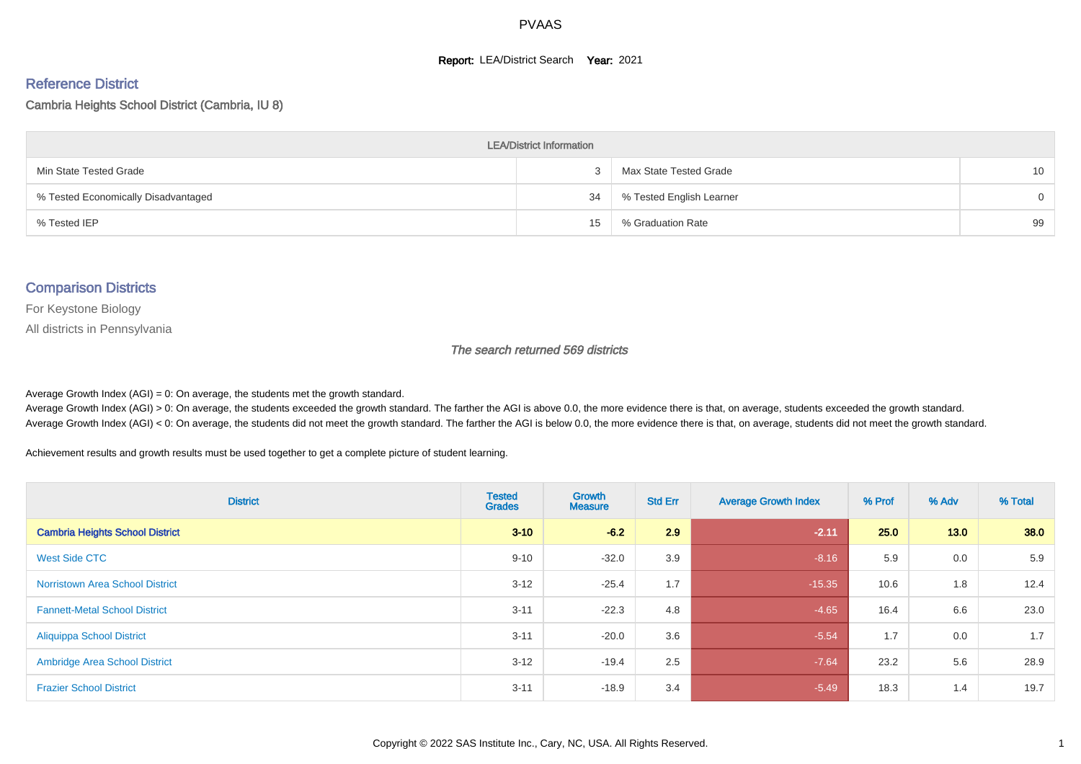#### **Report: LEA/District Search Year: 2021**

#### Reference District

#### Cambria Heights School District (Cambria, IU 8)

| <b>LEA/District Information</b>     |    |                          |          |  |  |  |  |  |  |
|-------------------------------------|----|--------------------------|----------|--|--|--|--|--|--|
| Min State Tested Grade              |    | Max State Tested Grade   | 10       |  |  |  |  |  |  |
| % Tested Economically Disadvantaged | 34 | % Tested English Learner | $\Omega$ |  |  |  |  |  |  |
| % Tested IEP                        | 15 | % Graduation Rate        | 99       |  |  |  |  |  |  |

#### Comparison Districts

For Keystone Biology

All districts in Pennsylvania

The search returned 569 districts

Average Growth Index  $(AGI) = 0$ : On average, the students met the growth standard.

Average Growth Index (AGI) > 0: On average, the students exceeded the growth standard. The farther the AGI is above 0.0, the more evidence there is that, on average, students exceeded the growth standard. Average Growth Index (AGI) < 0: On average, the students did not meet the growth standard. The farther the AGI is below 0.0, the more evidence there is that, on average, students did not meet the growth standard.

Achievement results and growth results must be used together to get a complete picture of student learning.

| <b>District</b>                        | <b>Tested</b><br><b>Grades</b> | <b>Growth</b><br><b>Measure</b> | <b>Std Err</b> | <b>Average Growth Index</b> | % Prof | % Adv | % Total |
|----------------------------------------|--------------------------------|---------------------------------|----------------|-----------------------------|--------|-------|---------|
| <b>Cambria Heights School District</b> | $3 - 10$                       | $-6.2$                          | 2.9            | $-2.11$                     | 25.0   | 13.0  | 38.0    |
| <b>West Side CTC</b>                   | $9 - 10$                       | $-32.0$                         | 3.9            | $-8.16$                     | 5.9    | 0.0   | 5.9     |
| <b>Norristown Area School District</b> | $3 - 12$                       | $-25.4$                         | 1.7            | $-15.35$                    | 10.6   | 1.8   | 12.4    |
| <b>Fannett-Metal School District</b>   | $3 - 11$                       | $-22.3$                         | 4.8            | $-4.65$                     | 16.4   | 6.6   | 23.0    |
| <b>Aliquippa School District</b>       | $3 - 11$                       | $-20.0$                         | 3.6            | $-5.54$                     | 1.7    | 0.0   | 1.7     |
| <b>Ambridge Area School District</b>   | $3 - 12$                       | $-19.4$                         | 2.5            | $-7.64$                     | 23.2   | 5.6   | 28.9    |
| <b>Frazier School District</b>         | $3 - 11$                       | $-18.9$                         | 3.4            | $-5.49$                     | 18.3   | 1.4   | 19.7    |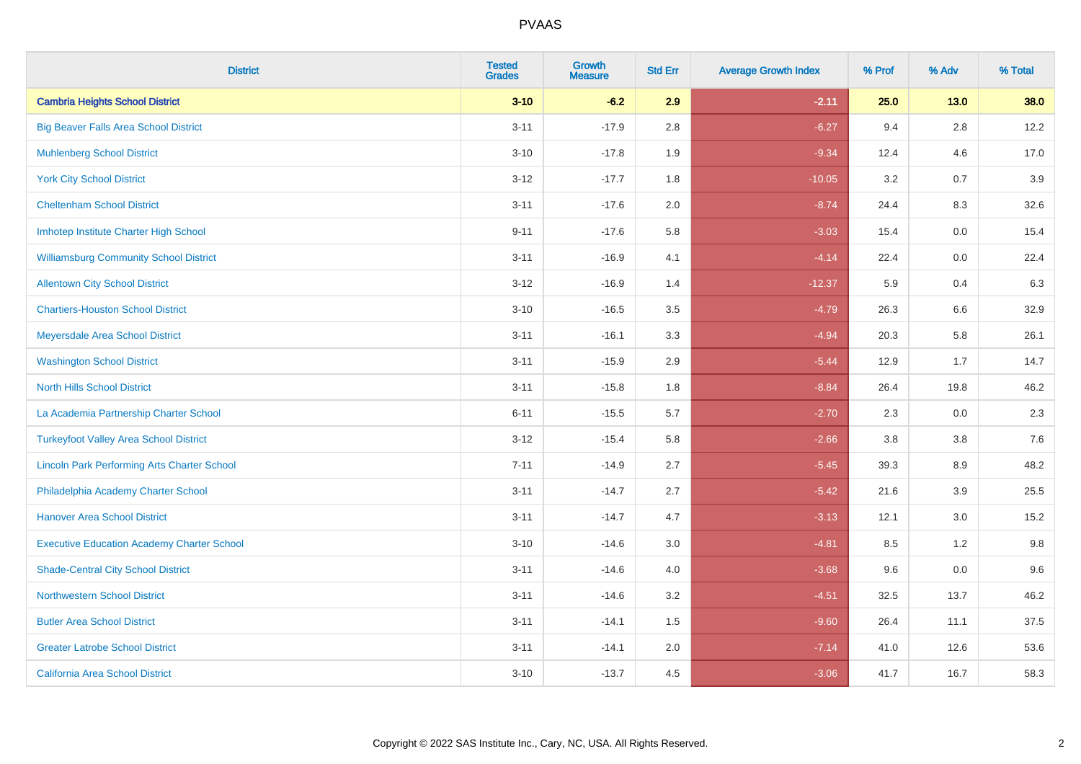| <b>District</b>                                    | <b>Tested</b><br><b>Grades</b> | Growth<br><b>Measure</b> | <b>Std Err</b> | <b>Average Growth Index</b> | % Prof | % Adv   | % Total |
|----------------------------------------------------|--------------------------------|--------------------------|----------------|-----------------------------|--------|---------|---------|
| <b>Cambria Heights School District</b>             | $3 - 10$                       | $-6.2$                   | 2.9            | $-2.11$                     | 25.0   | $13.0$  | 38.0    |
| <b>Big Beaver Falls Area School District</b>       | $3 - 11$                       | $-17.9$                  | 2.8            | $-6.27$                     | 9.4    | 2.8     | 12.2    |
| <b>Muhlenberg School District</b>                  | $3 - 10$                       | $-17.8$                  | 1.9            | $-9.34$                     | 12.4   | 4.6     | 17.0    |
| <b>York City School District</b>                   | $3-12$                         | $-17.7$                  | 1.8            | $-10.05$                    | 3.2    | 0.7     | 3.9     |
| <b>Cheltenham School District</b>                  | $3 - 11$                       | $-17.6$                  | 2.0            | $-8.74$                     | 24.4   | 8.3     | 32.6    |
| Imhotep Institute Charter High School              | $9 - 11$                       | $-17.6$                  | 5.8            | $-3.03$                     | 15.4   | 0.0     | 15.4    |
| <b>Williamsburg Community School District</b>      | $3 - 11$                       | $-16.9$                  | 4.1            | $-4.14$                     | 22.4   | $0.0\,$ | 22.4    |
| <b>Allentown City School District</b>              | $3 - 12$                       | $-16.9$                  | 1.4            | $-12.37$                    | 5.9    | 0.4     | 6.3     |
| <b>Chartiers-Houston School District</b>           | $3 - 10$                       | $-16.5$                  | 3.5            | $-4.79$                     | 26.3   | 6.6     | 32.9    |
| Meyersdale Area School District                    | $3 - 11$                       | $-16.1$                  | 3.3            | $-4.94$                     | 20.3   | 5.8     | 26.1    |
| <b>Washington School District</b>                  | $3 - 11$                       | $-15.9$                  | 2.9            | $-5.44$                     | 12.9   | 1.7     | 14.7    |
| <b>North Hills School District</b>                 | $3 - 11$                       | $-15.8$                  | 1.8            | $-8.84$                     | 26.4   | 19.8    | 46.2    |
| La Academia Partnership Charter School             | $6 - 11$                       | $-15.5$                  | 5.7            | $-2.70$                     | 2.3    | 0.0     | 2.3     |
| <b>Turkeyfoot Valley Area School District</b>      | $3 - 12$                       | $-15.4$                  | 5.8            | $-2.66$                     | 3.8    | $3.8\,$ | 7.6     |
| <b>Lincoln Park Performing Arts Charter School</b> | $7 - 11$                       | $-14.9$                  | 2.7            | $-5.45$                     | 39.3   | 8.9     | 48.2    |
| Philadelphia Academy Charter School                | $3 - 11$                       | $-14.7$                  | 2.7            | $-5.42$                     | 21.6   | 3.9     | 25.5    |
| <b>Hanover Area School District</b>                | $3 - 11$                       | $-14.7$                  | 4.7            | $-3.13$                     | 12.1   | 3.0     | 15.2    |
| <b>Executive Education Academy Charter School</b>  | $3 - 10$                       | $-14.6$                  | 3.0            | $-4.81$                     | 8.5    | $1.2$   | 9.8     |
| <b>Shade-Central City School District</b>          | $3 - 11$                       | $-14.6$                  | 4.0            | $-3.68$                     | 9.6    | 0.0     | 9.6     |
| <b>Northwestern School District</b>                | $3 - 11$                       | $-14.6$                  | 3.2            | $-4.51$                     | 32.5   | 13.7    | 46.2    |
| <b>Butler Area School District</b>                 | $3 - 11$                       | $-14.1$                  | 1.5            | $-9.60$                     | 26.4   | 11.1    | 37.5    |
| <b>Greater Latrobe School District</b>             | $3 - 11$                       | $-14.1$                  | 2.0            | $-7.14$                     | 41.0   | 12.6    | 53.6    |
| <b>California Area School District</b>             | $3 - 10$                       | $-13.7$                  | 4.5            | $-3.06$                     | 41.7   | 16.7    | 58.3    |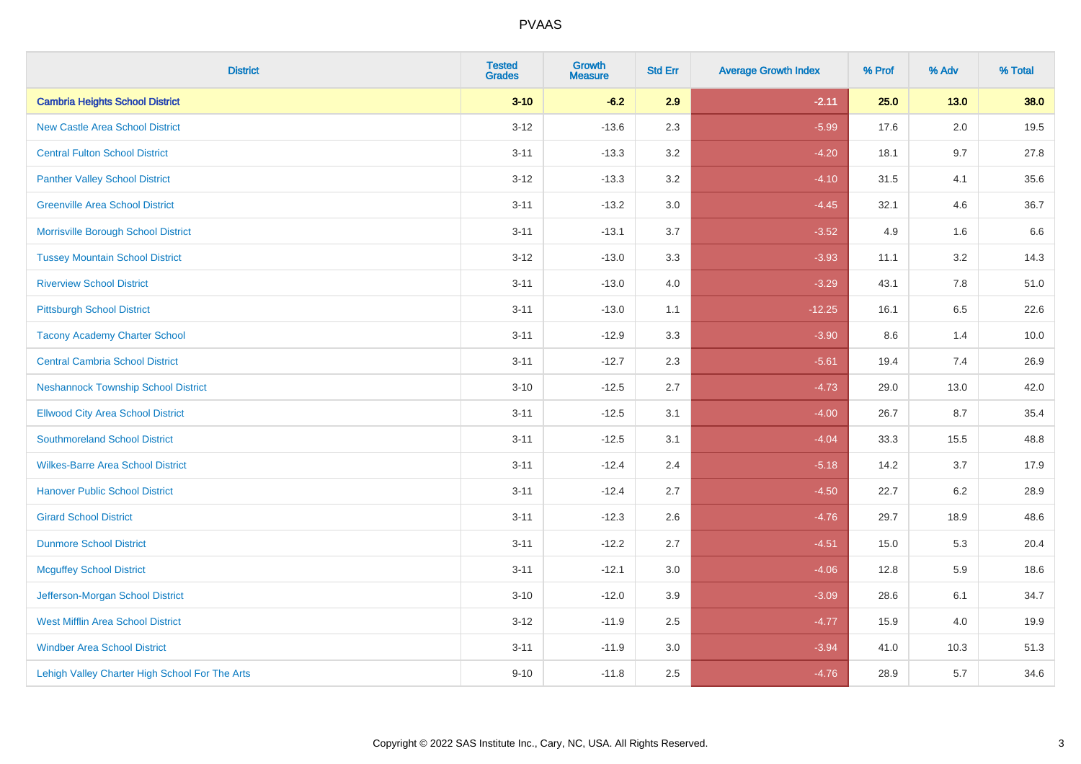| <b>District</b>                                | <b>Tested</b><br><b>Grades</b> | <b>Growth</b><br><b>Measure</b> | <b>Std Err</b> | <b>Average Growth Index</b> | % Prof | % Adv   | % Total |
|------------------------------------------------|--------------------------------|---------------------------------|----------------|-----------------------------|--------|---------|---------|
| <b>Cambria Heights School District</b>         | $3 - 10$                       | $-6.2$                          | 2.9            | $-2.11$                     | 25.0   | $13.0$  | 38.0    |
| <b>New Castle Area School District</b>         | $3 - 12$                       | $-13.6$                         | 2.3            | $-5.99$                     | 17.6   | $2.0\,$ | 19.5    |
| <b>Central Fulton School District</b>          | $3 - 11$                       | $-13.3$                         | 3.2            | $-4.20$                     | 18.1   | 9.7     | 27.8    |
| <b>Panther Valley School District</b>          | $3-12$                         | $-13.3$                         | 3.2            | $-4.10$                     | 31.5   | 4.1     | 35.6    |
| <b>Greenville Area School District</b>         | $3 - 11$                       | $-13.2$                         | 3.0            | $-4.45$                     | 32.1   | 4.6     | 36.7    |
| Morrisville Borough School District            | $3 - 11$                       | $-13.1$                         | 3.7            | $-3.52$                     | 4.9    | 1.6     | 6.6     |
| <b>Tussey Mountain School District</b>         | $3 - 12$                       | $-13.0$                         | 3.3            | $-3.93$                     | 11.1   | 3.2     | 14.3    |
| <b>Riverview School District</b>               | $3 - 11$                       | $-13.0$                         | 4.0            | $-3.29$                     | 43.1   | 7.8     | 51.0    |
| <b>Pittsburgh School District</b>              | $3 - 11$                       | $-13.0$                         | 1.1            | $-12.25$                    | 16.1   | 6.5     | 22.6    |
| <b>Tacony Academy Charter School</b>           | $3 - 11$                       | $-12.9$                         | 3.3            | $-3.90$                     | 8.6    | 1.4     | 10.0    |
| <b>Central Cambria School District</b>         | $3 - 11$                       | $-12.7$                         | 2.3            | $-5.61$                     | 19.4   | 7.4     | 26.9    |
| <b>Neshannock Township School District</b>     | $3 - 10$                       | $-12.5$                         | 2.7            | $-4.73$                     | 29.0   | 13.0    | 42.0    |
| <b>Ellwood City Area School District</b>       | $3 - 11$                       | $-12.5$                         | 3.1            | $-4.00$                     | 26.7   | 8.7     | 35.4    |
| <b>Southmoreland School District</b>           | $3 - 11$                       | $-12.5$                         | 3.1            | $-4.04$                     | 33.3   | 15.5    | 48.8    |
| <b>Wilkes-Barre Area School District</b>       | $3 - 11$                       | $-12.4$                         | 2.4            | $-5.18$                     | 14.2   | 3.7     | 17.9    |
| <b>Hanover Public School District</b>          | $3 - 11$                       | $-12.4$                         | 2.7            | $-4.50$                     | 22.7   | $6.2\,$ | 28.9    |
| <b>Girard School District</b>                  | $3 - 11$                       | $-12.3$                         | 2.6            | $-4.76$                     | 29.7   | 18.9    | 48.6    |
| <b>Dunmore School District</b>                 | $3 - 11$                       | $-12.2$                         | 2.7            | $-4.51$                     | 15.0   | 5.3     | 20.4    |
| <b>Mcguffey School District</b>                | $3 - 11$                       | $-12.1$                         | 3.0            | $-4.06$                     | 12.8   | 5.9     | 18.6    |
| Jefferson-Morgan School District               | $3 - 10$                       | $-12.0$                         | 3.9            | $-3.09$                     | 28.6   | 6.1     | 34.7    |
| <b>West Mifflin Area School District</b>       | $3-12$                         | $-11.9$                         | 2.5            | $-4.77$                     | 15.9   | 4.0     | 19.9    |
| <b>Windber Area School District</b>            | $3 - 11$                       | $-11.9$                         | 3.0            | $-3.94$                     | 41.0   | 10.3    | 51.3    |
| Lehigh Valley Charter High School For The Arts | $9 - 10$                       | $-11.8$                         | 2.5            | $-4.76$                     | 28.9   | 5.7     | 34.6    |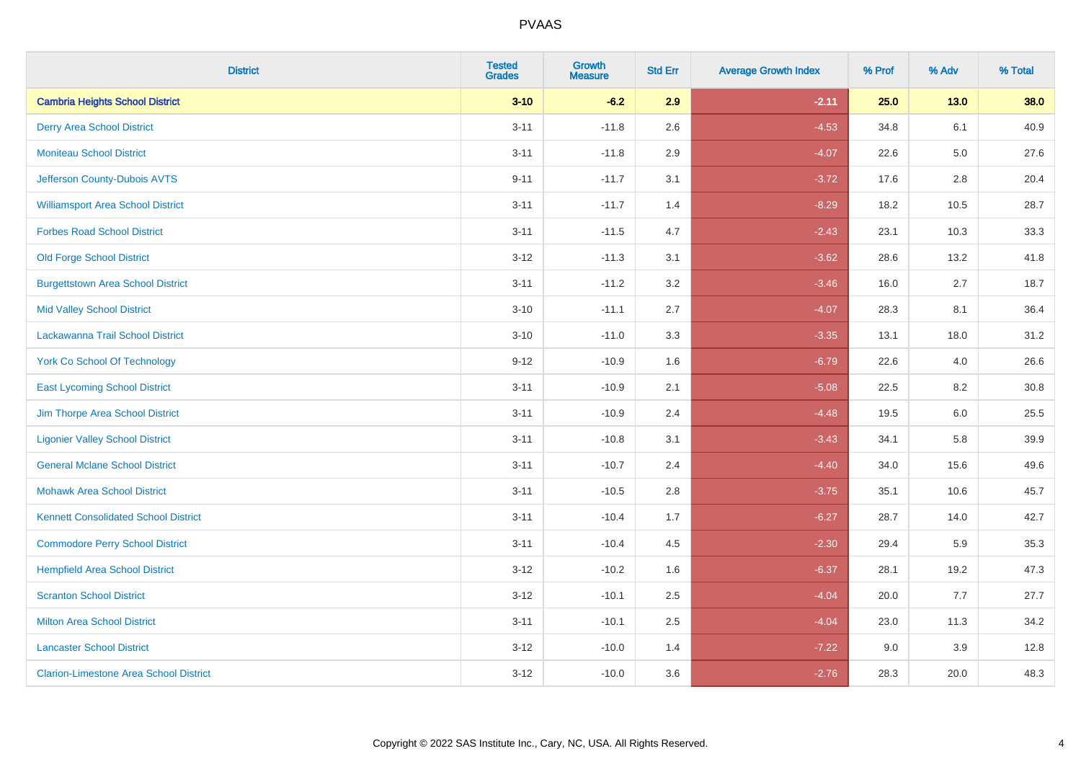| <b>District</b>                               | <b>Tested</b><br><b>Grades</b> | <b>Growth</b><br><b>Measure</b> | <b>Std Err</b> | <b>Average Growth Index</b> | % Prof | % Adv   | % Total |
|-----------------------------------------------|--------------------------------|---------------------------------|----------------|-----------------------------|--------|---------|---------|
| <b>Cambria Heights School District</b>        | $3 - 10$                       | $-6.2$                          | 2.9            | $-2.11$                     | 25.0   | $13.0$  | 38.0    |
| <b>Derry Area School District</b>             | $3 - 11$                       | $-11.8$                         | 2.6            | $-4.53$                     | 34.8   | 6.1     | 40.9    |
| <b>Moniteau School District</b>               | $3 - 11$                       | $-11.8$                         | 2.9            | $-4.07$                     | 22.6   | $5.0\,$ | 27.6    |
| Jefferson County-Dubois AVTS                  | $9 - 11$                       | $-11.7$                         | 3.1            | $-3.72$                     | 17.6   | 2.8     | 20.4    |
| <b>Williamsport Area School District</b>      | $3 - 11$                       | $-11.7$                         | 1.4            | $-8.29$                     | 18.2   | 10.5    | 28.7    |
| <b>Forbes Road School District</b>            | $3 - 11$                       | $-11.5$                         | 4.7            | $-2.43$                     | 23.1   | 10.3    | 33.3    |
| <b>Old Forge School District</b>              | $3 - 12$                       | $-11.3$                         | 3.1            | $-3.62$                     | 28.6   | 13.2    | 41.8    |
| <b>Burgettstown Area School District</b>      | $3 - 11$                       | $-11.2$                         | 3.2            | $-3.46$                     | 16.0   | 2.7     | 18.7    |
| <b>Mid Valley School District</b>             | $3 - 10$                       | $-11.1$                         | 2.7            | $-4.07$                     | 28.3   | 8.1     | 36.4    |
| Lackawanna Trail School District              | $3 - 10$                       | $-11.0$                         | 3.3            | $-3.35$                     | 13.1   | 18.0    | 31.2    |
| <b>York Co School Of Technology</b>           | $9 - 12$                       | $-10.9$                         | 1.6            | $-6.79$                     | 22.6   | 4.0     | 26.6    |
| <b>East Lycoming School District</b>          | $3 - 11$                       | $-10.9$                         | 2.1            | $-5.08$                     | 22.5   | 8.2     | 30.8    |
| Jim Thorpe Area School District               | $3 - 11$                       | $-10.9$                         | 2.4            | $-4.48$                     | 19.5   | 6.0     | 25.5    |
| <b>Ligonier Valley School District</b>        | $3 - 11$                       | $-10.8$                         | 3.1            | $-3.43$                     | 34.1   | 5.8     | 39.9    |
| <b>General Mclane School District</b>         | $3 - 11$                       | $-10.7$                         | 2.4            | $-4.40$                     | 34.0   | 15.6    | 49.6    |
| <b>Mohawk Area School District</b>            | $3 - 11$                       | $-10.5$                         | 2.8            | $-3.75$                     | 35.1   | 10.6    | 45.7    |
| <b>Kennett Consolidated School District</b>   | $3 - 11$                       | $-10.4$                         | 1.7            | $-6.27$                     | 28.7   | 14.0    | 42.7    |
| <b>Commodore Perry School District</b>        | $3 - 11$                       | $-10.4$                         | 4.5            | $-2.30$                     | 29.4   | 5.9     | 35.3    |
| <b>Hempfield Area School District</b>         | $3 - 12$                       | $-10.2$                         | 1.6            | $-6.37$                     | 28.1   | 19.2    | 47.3    |
| <b>Scranton School District</b>               | $3 - 12$                       | $-10.1$                         | 2.5            | $-4.04$                     | 20.0   | 7.7     | 27.7    |
| <b>Milton Area School District</b>            | $3 - 11$                       | $-10.1$                         | 2.5            | $-4.04$                     | 23.0   | 11.3    | 34.2    |
| <b>Lancaster School District</b>              | $3 - 12$                       | $-10.0$                         | 1.4            | $-7.22$                     | 9.0    | 3.9     | 12.8    |
| <b>Clarion-Limestone Area School District</b> | $3 - 12$                       | $-10.0$                         | 3.6            | $-2.76$                     | 28.3   | 20.0    | 48.3    |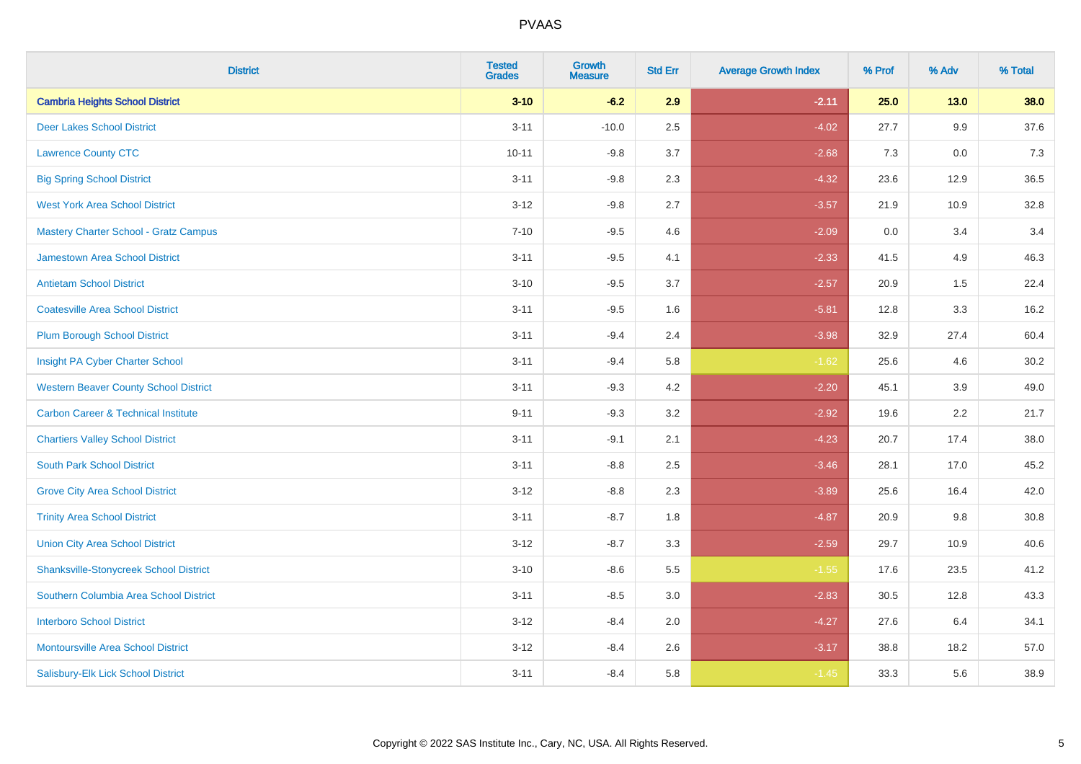| <b>District</b>                                | <b>Tested</b><br><b>Grades</b> | <b>Growth</b><br><b>Measure</b> | <b>Std Err</b> | <b>Average Growth Index</b> | % Prof | % Adv  | % Total |
|------------------------------------------------|--------------------------------|---------------------------------|----------------|-----------------------------|--------|--------|---------|
| <b>Cambria Heights School District</b>         | $3 - 10$                       | $-6.2$                          | 2.9            | $-2.11$                     | 25.0   | $13.0$ | 38.0    |
| <b>Deer Lakes School District</b>              | $3 - 11$                       | $-10.0$                         | 2.5            | $-4.02$                     | 27.7   | 9.9    | 37.6    |
| <b>Lawrence County CTC</b>                     | $10 - 11$                      | $-9.8$                          | 3.7            | $-2.68$                     | 7.3    | 0.0    | 7.3     |
| <b>Big Spring School District</b>              | $3 - 11$                       | $-9.8$                          | 2.3            | $-4.32$                     | 23.6   | 12.9   | 36.5    |
| <b>West York Area School District</b>          | $3 - 12$                       | $-9.8$                          | 2.7            | $-3.57$                     | 21.9   | 10.9   | 32.8    |
| Mastery Charter School - Gratz Campus          | $7 - 10$                       | $-9.5$                          | 4.6            | $-2.09$                     | 0.0    | 3.4    | 3.4     |
| <b>Jamestown Area School District</b>          | $3 - 11$                       | $-9.5$                          | 4.1            | $-2.33$                     | 41.5   | 4.9    | 46.3    |
| <b>Antietam School District</b>                | $3 - 10$                       | $-9.5$                          | 3.7            | $-2.57$                     | 20.9   | 1.5    | 22.4    |
| <b>Coatesville Area School District</b>        | $3 - 11$                       | $-9.5$                          | 1.6            | $-5.81$                     | 12.8   | 3.3    | 16.2    |
| <b>Plum Borough School District</b>            | $3 - 11$                       | $-9.4$                          | 2.4            | $-3.98$                     | 32.9   | 27.4   | 60.4    |
| Insight PA Cyber Charter School                | $3 - 11$                       | $-9.4$                          | 5.8            | $-1.62$                     | 25.6   | 4.6    | 30.2    |
| <b>Western Beaver County School District</b>   | $3 - 11$                       | $-9.3$                          | 4.2            | $-2.20$                     | 45.1   | 3.9    | 49.0    |
| <b>Carbon Career &amp; Technical Institute</b> | $9 - 11$                       | $-9.3$                          | 3.2            | $-2.92$                     | 19.6   | 2.2    | 21.7    |
| <b>Chartiers Valley School District</b>        | $3 - 11$                       | $-9.1$                          | 2.1            | $-4.23$                     | 20.7   | 17.4   | 38.0    |
| <b>South Park School District</b>              | $3 - 11$                       | $-8.8$                          | 2.5            | $-3.46$                     | 28.1   | 17.0   | 45.2    |
| <b>Grove City Area School District</b>         | $3 - 12$                       | $-8.8$                          | 2.3            | $-3.89$                     | 25.6   | 16.4   | 42.0    |
| <b>Trinity Area School District</b>            | $3 - 11$                       | $-8.7$                          | 1.8            | $-4.87$                     | 20.9   | 9.8    | 30.8    |
| <b>Union City Area School District</b>         | $3-12$                         | $-8.7$                          | 3.3            | $-2.59$                     | 29.7   | 10.9   | 40.6    |
| <b>Shanksville-Stonycreek School District</b>  | $3 - 10$                       | $-8.6$                          | 5.5            | $-1.55$                     | 17.6   | 23.5   | 41.2    |
| Southern Columbia Area School District         | $3 - 11$                       | $-8.5$                          | 3.0            | $-2.83$                     | 30.5   | 12.8   | 43.3    |
| <b>Interboro School District</b>               | $3 - 12$                       | $-8.4$                          | 2.0            | $-4.27$                     | 27.6   | 6.4    | 34.1    |
| <b>Montoursville Area School District</b>      | $3 - 12$                       | $-8.4$                          | 2.6            | $-3.17$                     | 38.8   | 18.2   | 57.0    |
| Salisbury-Elk Lick School District             | $3 - 11$                       | $-8.4$                          | 5.8            | $-1.45$                     | 33.3   | 5.6    | 38.9    |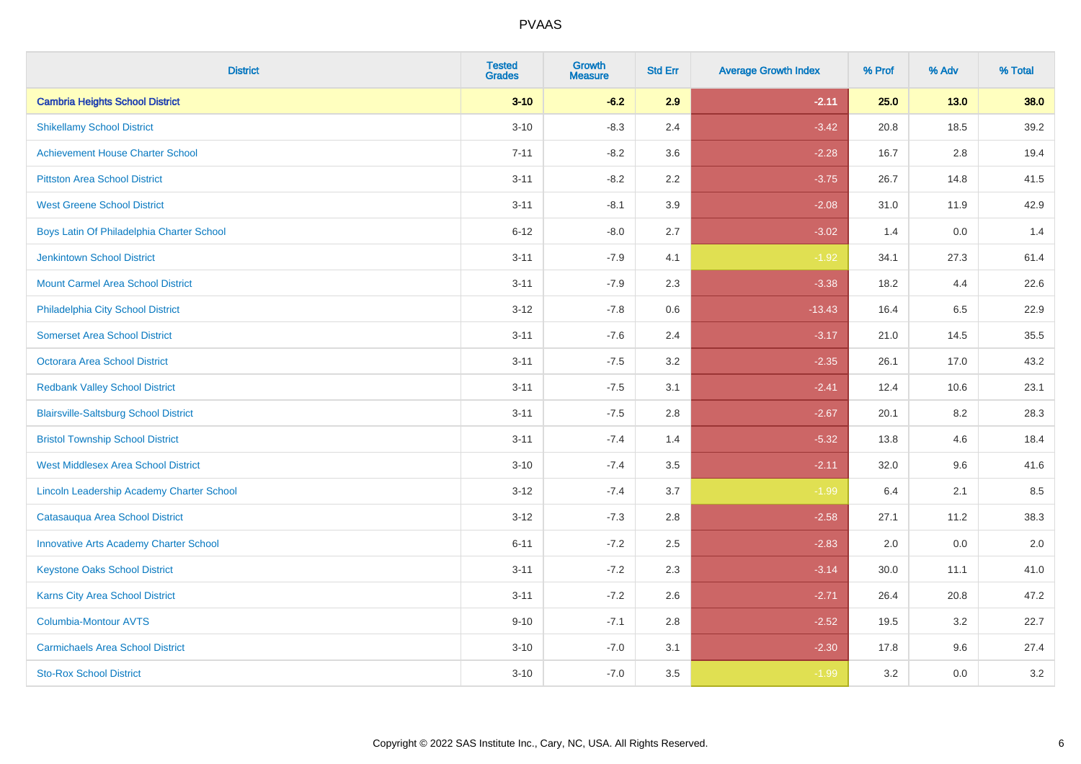| <b>District</b>                               | <b>Tested</b><br><b>Grades</b> | <b>Growth</b><br><b>Measure</b> | <b>Std Err</b> | <b>Average Growth Index</b> | % Prof | % Adv  | % Total |
|-----------------------------------------------|--------------------------------|---------------------------------|----------------|-----------------------------|--------|--------|---------|
| <b>Cambria Heights School District</b>        | $3 - 10$                       | $-6.2$                          | 2.9            | $-2.11$                     | 25.0   | $13.0$ | 38.0    |
| <b>Shikellamy School District</b>             | $3 - 10$                       | $-8.3$                          | 2.4            | $-3.42$                     | 20.8   | 18.5   | 39.2    |
| <b>Achievement House Charter School</b>       | $7 - 11$                       | $-8.2$                          | 3.6            | $-2.28$                     | 16.7   | 2.8    | 19.4    |
| <b>Pittston Area School District</b>          | $3 - 11$                       | $-8.2$                          | 2.2            | $-3.75$                     | 26.7   | 14.8   | 41.5    |
| <b>West Greene School District</b>            | $3 - 11$                       | $-8.1$                          | 3.9            | $-2.08$                     | 31.0   | 11.9   | 42.9    |
| Boys Latin Of Philadelphia Charter School     | $6 - 12$                       | $-8.0$                          | 2.7            | $-3.02$                     | 1.4    | 0.0    | 1.4     |
| <b>Jenkintown School District</b>             | $3 - 11$                       | $-7.9$                          | 4.1            | $-1.92$                     | 34.1   | 27.3   | 61.4    |
| <b>Mount Carmel Area School District</b>      | $3 - 11$                       | $-7.9$                          | 2.3            | $-3.38$                     | 18.2   | 4.4    | 22.6    |
| Philadelphia City School District             | $3 - 12$                       | $-7.8$                          | 0.6            | $-13.43$                    | 16.4   | 6.5    | 22.9    |
| <b>Somerset Area School District</b>          | $3 - 11$                       | $-7.6$                          | 2.4            | $-3.17$                     | 21.0   | 14.5   | 35.5    |
| Octorara Area School District                 | $3 - 11$                       | $-7.5$                          | 3.2            | $-2.35$                     | 26.1   | 17.0   | 43.2    |
| <b>Redbank Valley School District</b>         | $3 - 11$                       | $-7.5$                          | 3.1            | $-2.41$                     | 12.4   | 10.6   | 23.1    |
| <b>Blairsville-Saltsburg School District</b>  | $3 - 11$                       | $-7.5$                          | 2.8            | $-2.67$                     | 20.1   | 8.2    | 28.3    |
| <b>Bristol Township School District</b>       | $3 - 11$                       | $-7.4$                          | 1.4            | $-5.32$                     | 13.8   | 4.6    | 18.4    |
| <b>West Middlesex Area School District</b>    | $3 - 10$                       | $-7.4$                          | 3.5            | $-2.11$                     | 32.0   | 9.6    | 41.6    |
| Lincoln Leadership Academy Charter School     | $3 - 12$                       | $-7.4$                          | 3.7            | $-1.99$                     | 6.4    | 2.1    | 8.5     |
| Catasauqua Area School District               | $3 - 12$                       | $-7.3$                          | 2.8            | $-2.58$                     | 27.1   | 11.2   | 38.3    |
| <b>Innovative Arts Academy Charter School</b> | $6 - 11$                       | $-7.2$                          | 2.5            | $-2.83$                     | 2.0    | 0.0    | 2.0     |
| <b>Keystone Oaks School District</b>          | $3 - 11$                       | $-7.2$                          | 2.3            | $-3.14$                     | 30.0   | 11.1   | 41.0    |
| Karns City Area School District               | $3 - 11$                       | $-7.2$                          | 2.6            | $-2.71$                     | 26.4   | 20.8   | 47.2    |
| Columbia-Montour AVTS                         | $9 - 10$                       | $-7.1$                          | 2.8            | $-2.52$                     | 19.5   | 3.2    | 22.7    |
| <b>Carmichaels Area School District</b>       | $3 - 10$                       | $-7.0$                          | 3.1            | $-2.30$                     | 17.8   | 9.6    | 27.4    |
| <b>Sto-Rox School District</b>                | $3 - 10$                       | $-7.0$                          | 3.5            | $-1.99$                     | 3.2    | 0.0    | 3.2     |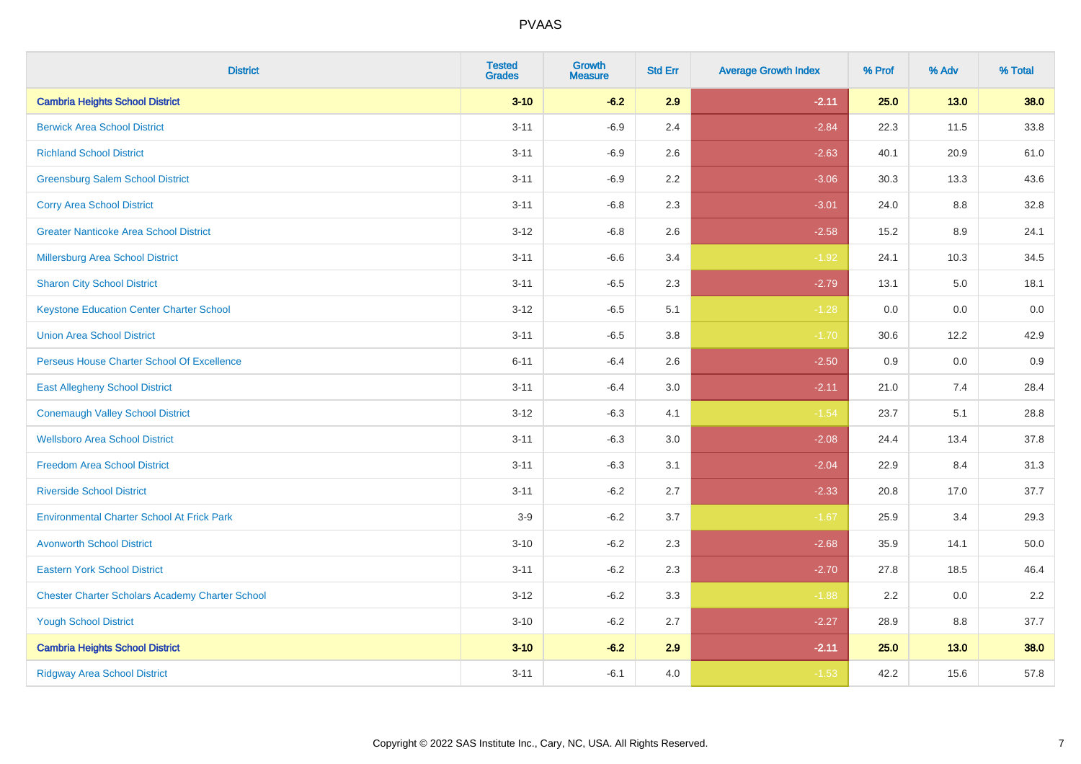| <b>District</b>                                        | <b>Tested</b><br><b>Grades</b> | Growth<br><b>Measure</b> | <b>Std Err</b> | <b>Average Growth Index</b> | % Prof | % Adv  | % Total |
|--------------------------------------------------------|--------------------------------|--------------------------|----------------|-----------------------------|--------|--------|---------|
| <b>Cambria Heights School District</b>                 | $3 - 10$                       | $-6.2$                   | 2.9            | $-2.11$                     | 25.0   | $13.0$ | 38.0    |
| <b>Berwick Area School District</b>                    | $3 - 11$                       | $-6.9$                   | 2.4            | $-2.84$                     | 22.3   | 11.5   | 33.8    |
| <b>Richland School District</b>                        | $3 - 11$                       | $-6.9$                   | 2.6            | $-2.63$                     | 40.1   | 20.9   | 61.0    |
| <b>Greensburg Salem School District</b>                | $3 - 11$                       | $-6.9$                   | 2.2            | $-3.06$                     | 30.3   | 13.3   | 43.6    |
| <b>Corry Area School District</b>                      | $3 - 11$                       | $-6.8$                   | 2.3            | $-3.01$                     | 24.0   | 8.8    | 32.8    |
| <b>Greater Nanticoke Area School District</b>          | $3 - 12$                       | $-6.8$                   | 2.6            | $-2.58$                     | 15.2   | 8.9    | 24.1    |
| Millersburg Area School District                       | $3 - 11$                       | $-6.6$                   | 3.4            | $-1.92$                     | 24.1   | 10.3   | 34.5    |
| <b>Sharon City School District</b>                     | $3 - 11$                       | $-6.5$                   | 2.3            | $-2.79$                     | 13.1   | 5.0    | 18.1    |
| <b>Keystone Education Center Charter School</b>        | $3 - 12$                       | $-6.5$                   | 5.1            | $-1.28$                     | 0.0    | 0.0    | $0.0\,$ |
| <b>Union Area School District</b>                      | $3 - 11$                       | $-6.5$                   | 3.8            | $-1.70$                     | 30.6   | 12.2   | 42.9    |
| Perseus House Charter School Of Excellence             | $6 - 11$                       | $-6.4$                   | 2.6            | $-2.50$                     | 0.9    | 0.0    | 0.9     |
| <b>East Allegheny School District</b>                  | $3 - 11$                       | $-6.4$                   | 3.0            | $-2.11$                     | 21.0   | 7.4    | 28.4    |
| <b>Conemaugh Valley School District</b>                | $3 - 12$                       | $-6.3$                   | 4.1            | $-1.54$                     | 23.7   | 5.1    | 28.8    |
| <b>Wellsboro Area School District</b>                  | $3 - 11$                       | $-6.3$                   | 3.0            | $-2.08$                     | 24.4   | 13.4   | 37.8    |
| <b>Freedom Area School District</b>                    | $3 - 11$                       | $-6.3$                   | 3.1            | $-2.04$                     | 22.9   | 8.4    | 31.3    |
| <b>Riverside School District</b>                       | $3 - 11$                       | $-6.2$                   | 2.7            | $-2.33$                     | 20.8   | 17.0   | 37.7    |
| <b>Environmental Charter School At Frick Park</b>      | $3-9$                          | $-6.2$                   | 3.7            | $-1.67$                     | 25.9   | 3.4    | 29.3    |
| <b>Avonworth School District</b>                       | $3 - 10$                       | $-6.2$                   | 2.3            | $-2.68$                     | 35.9   | 14.1   | 50.0    |
| <b>Eastern York School District</b>                    | $3 - 11$                       | $-6.2$                   | 2.3            | $-2.70$                     | 27.8   | 18.5   | 46.4    |
| <b>Chester Charter Scholars Academy Charter School</b> | $3 - 12$                       | $-6.2$                   | 3.3            | $-1.88$                     | 2.2    | 0.0    | 2.2     |
| <b>Yough School District</b>                           | $3 - 10$                       | $-6.2$                   | 2.7            | $-2.27$                     | 28.9   | 8.8    | 37.7    |
| <b>Cambria Heights School District</b>                 | $3 - 10$                       | $-6.2$                   | 2.9            | $-2.11$                     | 25.0   | 13.0   | 38.0    |
| <b>Ridgway Area School District</b>                    | $3 - 11$                       | $-6.1$                   | 4.0            | $-1.53$                     | 42.2   | 15.6   | 57.8    |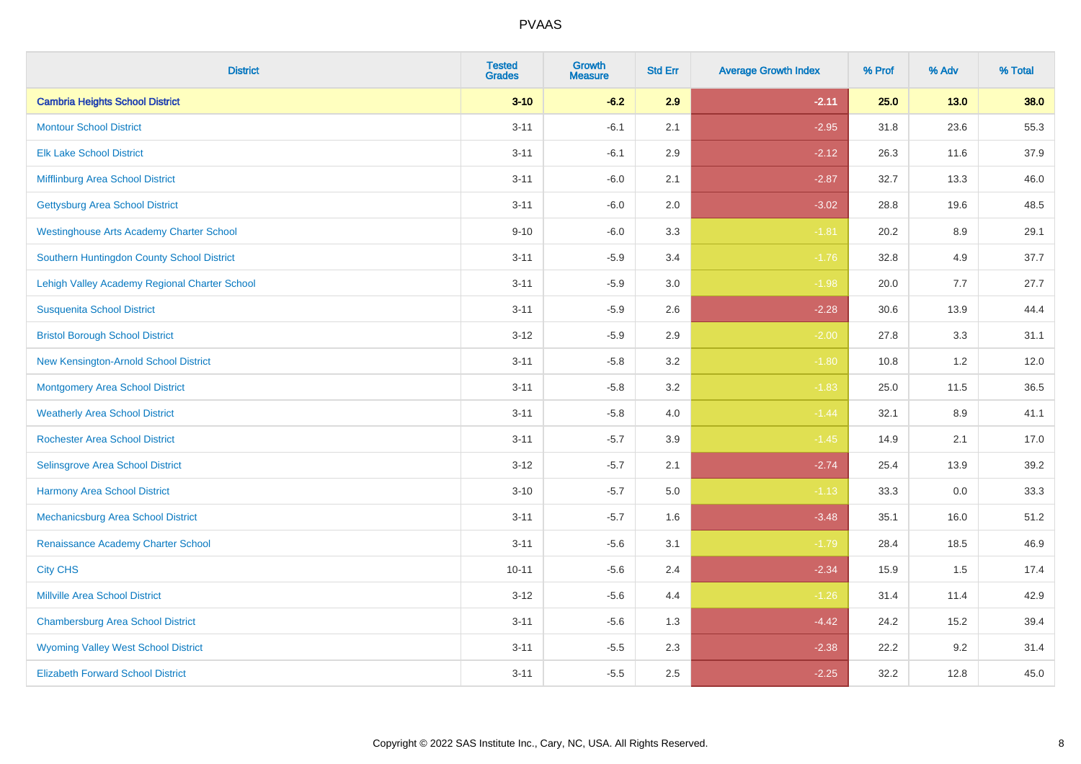| <b>District</b>                                 | <b>Tested</b><br><b>Grades</b> | <b>Growth</b><br><b>Measure</b> | <b>Std Err</b> | <b>Average Growth Index</b> | % Prof | % Adv   | % Total |
|-------------------------------------------------|--------------------------------|---------------------------------|----------------|-----------------------------|--------|---------|---------|
| <b>Cambria Heights School District</b>          | $3 - 10$                       | $-6.2$                          | 2.9            | $-2.11$                     | 25.0   | $13.0$  | 38.0    |
| <b>Montour School District</b>                  | $3 - 11$                       | $-6.1$                          | 2.1            | $-2.95$                     | 31.8   | 23.6    | 55.3    |
| <b>Elk Lake School District</b>                 | $3 - 11$                       | $-6.1$                          | 2.9            | $-2.12$                     | 26.3   | 11.6    | 37.9    |
| Mifflinburg Area School District                | $3 - 11$                       | $-6.0$                          | 2.1            | $-2.87$                     | 32.7   | 13.3    | 46.0    |
| <b>Gettysburg Area School District</b>          | $3 - 11$                       | $-6.0$                          | 2.0            | $-3.02$                     | 28.8   | 19.6    | 48.5    |
| <b>Westinghouse Arts Academy Charter School</b> | $9 - 10$                       | $-6.0$                          | 3.3            | $-1.81$                     | 20.2   | $8.9\,$ | 29.1    |
| Southern Huntingdon County School District      | $3 - 11$                       | $-5.9$                          | 3.4            | $-1.76$                     | 32.8   | 4.9     | 37.7    |
| Lehigh Valley Academy Regional Charter School   | $3 - 11$                       | $-5.9$                          | 3.0            | $-1.98$                     | 20.0   | 7.7     | 27.7    |
| <b>Susquenita School District</b>               | $3 - 11$                       | $-5.9$                          | 2.6            | $-2.28$                     | 30.6   | 13.9    | 44.4    |
| <b>Bristol Borough School District</b>          | $3 - 12$                       | $-5.9$                          | 2.9            | $-2.00$                     | 27.8   | 3.3     | 31.1    |
| New Kensington-Arnold School District           | $3 - 11$                       | $-5.8$                          | 3.2            | $-1.80$                     | 10.8   | 1.2     | 12.0    |
| <b>Montgomery Area School District</b>          | $3 - 11$                       | $-5.8$                          | 3.2            | $-1.83$                     | 25.0   | 11.5    | 36.5    |
| <b>Weatherly Area School District</b>           | $3 - 11$                       | $-5.8$                          | $4.0\,$        | $-1.44$                     | 32.1   | 8.9     | 41.1    |
| <b>Rochester Area School District</b>           | $3 - 11$                       | $-5.7$                          | 3.9            | $-1.45$                     | 14.9   | 2.1     | 17.0    |
| <b>Selinsgrove Area School District</b>         | $3 - 12$                       | $-5.7$                          | 2.1            | $-2.74$                     | 25.4   | 13.9    | 39.2    |
| <b>Harmony Area School District</b>             | $3 - 10$                       | $-5.7$                          | 5.0            | $-1.13$                     | 33.3   | $0.0\,$ | 33.3    |
| Mechanicsburg Area School District              | $3 - 11$                       | $-5.7$                          | 1.6            | $-3.48$                     | 35.1   | 16.0    | 51.2    |
| Renaissance Academy Charter School              | $3 - 11$                       | $-5.6$                          | 3.1            | $-1.79$                     | 28.4   | 18.5    | 46.9    |
| <b>City CHS</b>                                 | $10 - 11$                      | $-5.6$                          | 2.4            | $-2.34$                     | 15.9   | 1.5     | 17.4    |
| <b>Millville Area School District</b>           | $3 - 12$                       | $-5.6$                          | 4.4            | $-1.26$                     | 31.4   | 11.4    | 42.9    |
| <b>Chambersburg Area School District</b>        | $3 - 11$                       | $-5.6$                          | 1.3            | $-4.42$                     | 24.2   | 15.2    | 39.4    |
| <b>Wyoming Valley West School District</b>      | $3 - 11$                       | $-5.5$                          | 2.3            | $-2.38$                     | 22.2   | 9.2     | 31.4    |
| <b>Elizabeth Forward School District</b>        | $3 - 11$                       | $-5.5$                          | 2.5            | $-2.25$                     | 32.2   | 12.8    | 45.0    |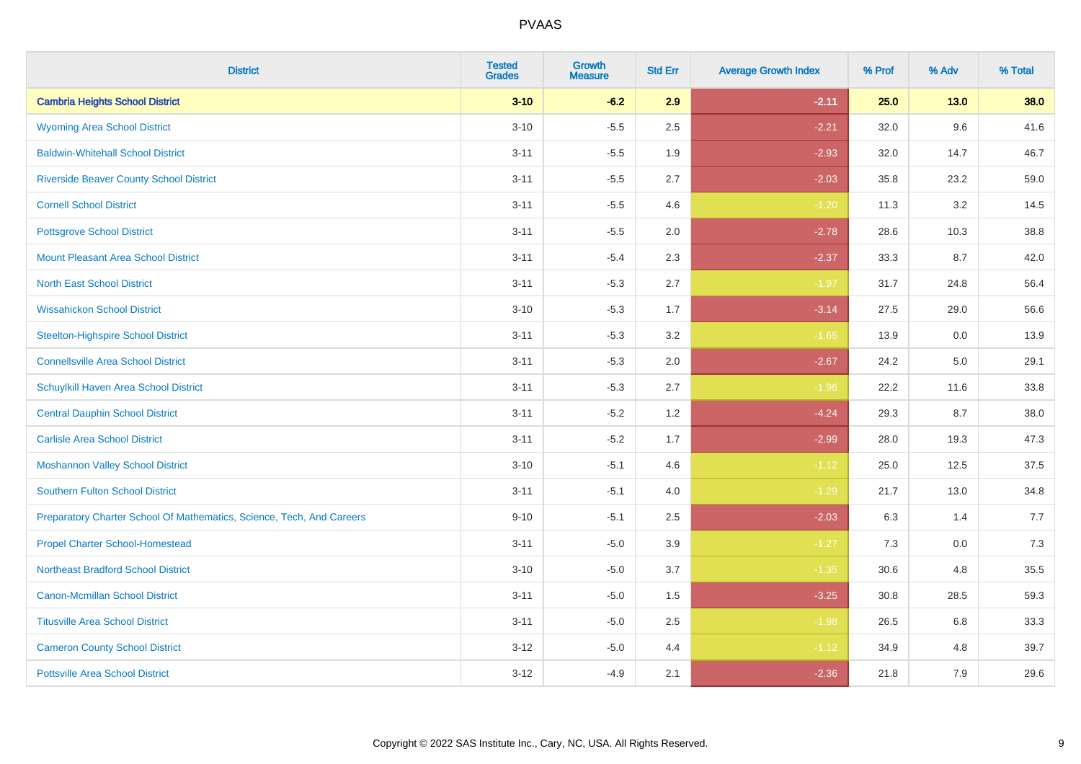| <b>District</b>                                                       | <b>Tested</b><br><b>Grades</b> | Growth<br><b>Measure</b> | <b>Std Err</b> | <b>Average Growth Index</b> | % Prof | % Adv  | % Total |
|-----------------------------------------------------------------------|--------------------------------|--------------------------|----------------|-----------------------------|--------|--------|---------|
| <b>Cambria Heights School District</b>                                | $3 - 10$                       | $-6.2$                   | 2.9            | $-2.11$                     | 25.0   | $13.0$ | 38.0    |
| <b>Wyoming Area School District</b>                                   | $3 - 10$                       | $-5.5$                   | 2.5            | $-2.21$                     | 32.0   | 9.6    | 41.6    |
| <b>Baldwin-Whitehall School District</b>                              | $3 - 11$                       | $-5.5$                   | 1.9            | $-2.93$                     | 32.0   | 14.7   | 46.7    |
| <b>Riverside Beaver County School District</b>                        | $3 - 11$                       | $-5.5$                   | 2.7            | $-2.03$                     | 35.8   | 23.2   | 59.0    |
| <b>Cornell School District</b>                                        | $3 - 11$                       | $-5.5$                   | 4.6            | $-1.20$                     | 11.3   | 3.2    | 14.5    |
| <b>Pottsgrove School District</b>                                     | $3 - 11$                       | $-5.5$                   | 2.0            | $-2.78$                     | 28.6   | 10.3   | 38.8    |
| <b>Mount Pleasant Area School District</b>                            | $3 - 11$                       | $-5.4$                   | 2.3            | $-2.37$                     | 33.3   | 8.7    | 42.0    |
| <b>North East School District</b>                                     | $3 - 11$                       | $-5.3$                   | 2.7            | $-1.97$                     | 31.7   | 24.8   | 56.4    |
| <b>Wissahickon School District</b>                                    | $3 - 10$                       | $-5.3$                   | 1.7            | $-3.14$                     | 27.5   | 29.0   | 56.6    |
| <b>Steelton-Highspire School District</b>                             | $3 - 11$                       | $-5.3$                   | 3.2            | $-1.65$                     | 13.9   | 0.0    | 13.9    |
| <b>Connellsville Area School District</b>                             | $3 - 11$                       | $-5.3$                   | 2.0            | $-2.67$                     | 24.2   | 5.0    | 29.1    |
| Schuylkill Haven Area School District                                 | $3 - 11$                       | $-5.3$                   | 2.7            | $-1.96$                     | 22.2   | 11.6   | 33.8    |
| <b>Central Dauphin School District</b>                                | $3 - 11$                       | $-5.2$                   | 1.2            | $-4.24$                     | 29.3   | 8.7    | 38.0    |
| <b>Carlisle Area School District</b>                                  | $3 - 11$                       | $-5.2$                   | 1.7            | $-2.99$                     | 28.0   | 19.3   | 47.3    |
| <b>Moshannon Valley School District</b>                               | $3 - 10$                       | $-5.1$                   | 4.6            | $-1.12$                     | 25.0   | 12.5   | 37.5    |
| <b>Southern Fulton School District</b>                                | $3 - 11$                       | $-5.1$                   | 4.0            | $-1.29$                     | 21.7   | 13.0   | 34.8    |
| Preparatory Charter School Of Mathematics, Science, Tech, And Careers | $9 - 10$                       | $-5.1$                   | 2.5            | $-2.03$                     | 6.3    | 1.4    | 7.7     |
| <b>Propel Charter School-Homestead</b>                                | $3 - 11$                       | $-5.0$                   | 3.9            | $-1.27$                     | 7.3    | 0.0    | 7.3     |
| <b>Northeast Bradford School District</b>                             | $3 - 10$                       | $-5.0$                   | 3.7            | $-1.35$                     | 30.6   | 4.8    | 35.5    |
| <b>Canon-Mcmillan School District</b>                                 | $3 - 11$                       | $-5.0$                   | 1.5            | $-3.25$                     | 30.8   | 28.5   | 59.3    |
| <b>Titusville Area School District</b>                                | $3 - 11$                       | $-5.0$                   | 2.5            | $-1.98$                     | 26.5   | 6.8    | 33.3    |
| <b>Cameron County School District</b>                                 | $3 - 12$                       | $-5.0$                   | 4.4            | $-1.12$                     | 34.9   | 4.8    | 39.7    |
| <b>Pottsville Area School District</b>                                | $3 - 12$                       | $-4.9$                   | 2.1            | $-2.36$                     | 21.8   | 7.9    | 29.6    |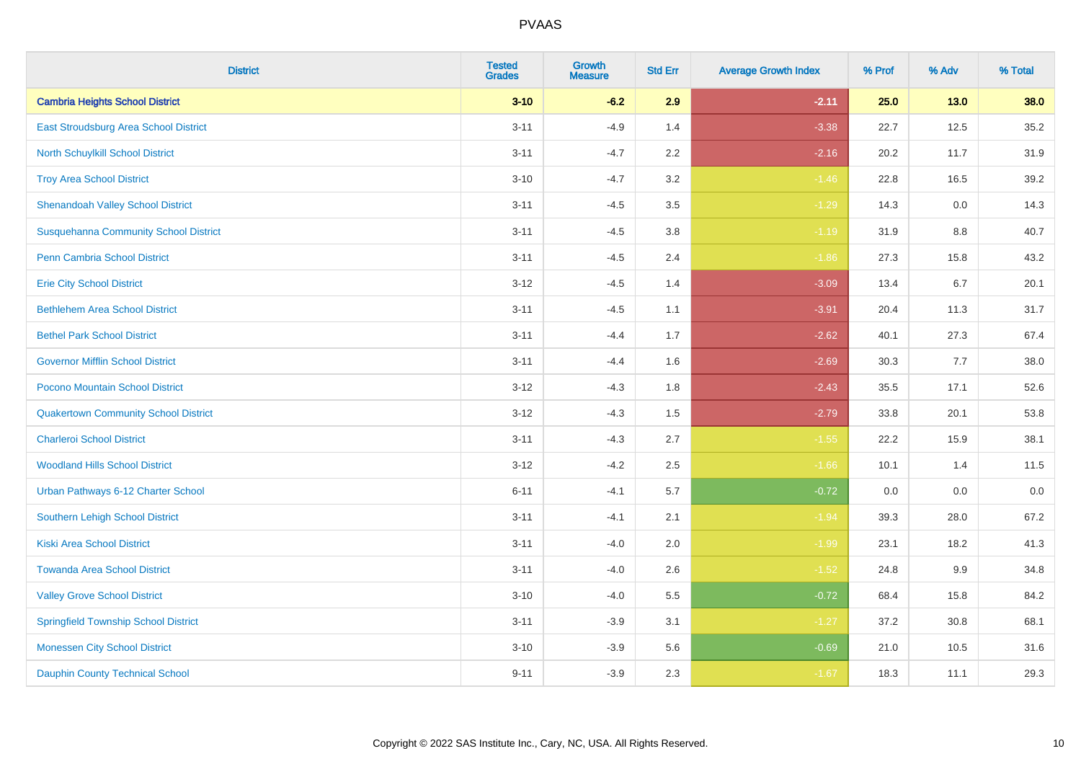| <b>District</b>                              | <b>Tested</b><br><b>Grades</b> | <b>Growth</b><br><b>Measure</b> | <b>Std Err</b> | <b>Average Growth Index</b> | % Prof | % Adv   | % Total |
|----------------------------------------------|--------------------------------|---------------------------------|----------------|-----------------------------|--------|---------|---------|
| <b>Cambria Heights School District</b>       | $3 - 10$                       | $-6.2$                          | 2.9            | $-2.11$                     | 25.0   | $13.0$  | 38.0    |
| East Stroudsburg Area School District        | $3 - 11$                       | $-4.9$                          | 1.4            | $-3.38$                     | 22.7   | 12.5    | 35.2    |
| <b>North Schuylkill School District</b>      | $3 - 11$                       | $-4.7$                          | 2.2            | $-2.16$                     | 20.2   | 11.7    | 31.9    |
| <b>Troy Area School District</b>             | $3 - 10$                       | $-4.7$                          | 3.2            | $-1.46$                     | 22.8   | 16.5    | 39.2    |
| <b>Shenandoah Valley School District</b>     | $3 - 11$                       | $-4.5$                          | 3.5            | $-1.29$                     | 14.3   | 0.0     | 14.3    |
| <b>Susquehanna Community School District</b> | $3 - 11$                       | $-4.5$                          | 3.8            | $-1.19$                     | 31.9   | 8.8     | 40.7    |
| <b>Penn Cambria School District</b>          | $3 - 11$                       | $-4.5$                          | 2.4            | $-1.86$                     | 27.3   | 15.8    | 43.2    |
| <b>Erie City School District</b>             | $3 - 12$                       | $-4.5$                          | 1.4            | $-3.09$                     | 13.4   | 6.7     | 20.1    |
| <b>Bethlehem Area School District</b>        | $3 - 11$                       | $-4.5$                          | 1.1            | $-3.91$                     | 20.4   | 11.3    | 31.7    |
| <b>Bethel Park School District</b>           | $3 - 11$                       | $-4.4$                          | 1.7            | $-2.62$                     | 40.1   | 27.3    | 67.4    |
| <b>Governor Mifflin School District</b>      | $3 - 11$                       | $-4.4$                          | 1.6            | $-2.69$                     | 30.3   | 7.7     | 38.0    |
| Pocono Mountain School District              | $3 - 12$                       | $-4.3$                          | 1.8            | $-2.43$                     | 35.5   | 17.1    | 52.6    |
| <b>Quakertown Community School District</b>  | $3 - 12$                       | $-4.3$                          | $1.5\,$        | $-2.79$                     | 33.8   | 20.1    | 53.8    |
| <b>Charleroi School District</b>             | $3 - 11$                       | $-4.3$                          | 2.7            | $-1.55$                     | 22.2   | 15.9    | 38.1    |
| <b>Woodland Hills School District</b>        | $3 - 12$                       | $-4.2$                          | 2.5            | $-1.66$                     | 10.1   | 1.4     | 11.5    |
| Urban Pathways 6-12 Charter School           | $6 - 11$                       | $-4.1$                          | 5.7            | $-0.72$                     | 0.0    | $0.0\,$ | $0.0\,$ |
| <b>Southern Lehigh School District</b>       | $3 - 11$                       | $-4.1$                          | 2.1            | $-1.94$                     | 39.3   | 28.0    | 67.2    |
| <b>Kiski Area School District</b>            | $3 - 11$                       | $-4.0$                          | 2.0            | $-1.99$                     | 23.1   | 18.2    | 41.3    |
| <b>Towanda Area School District</b>          | $3 - 11$                       | $-4.0$                          | 2.6            | $-1.52$                     | 24.8   | 9.9     | 34.8    |
| <b>Valley Grove School District</b>          | $3 - 10$                       | $-4.0$                          | 5.5            | $-0.72$                     | 68.4   | 15.8    | 84.2    |
| <b>Springfield Township School District</b>  | $3 - 11$                       | $-3.9$                          | 3.1            | $-1.27$                     | 37.2   | 30.8    | 68.1    |
| <b>Monessen City School District</b>         | $3 - 10$                       | $-3.9$                          | 5.6            | $-0.69$                     | 21.0   | 10.5    | 31.6    |
| <b>Dauphin County Technical School</b>       | $9 - 11$                       | $-3.9$                          | 2.3            | $-1.67$                     | 18.3   | 11.1    | 29.3    |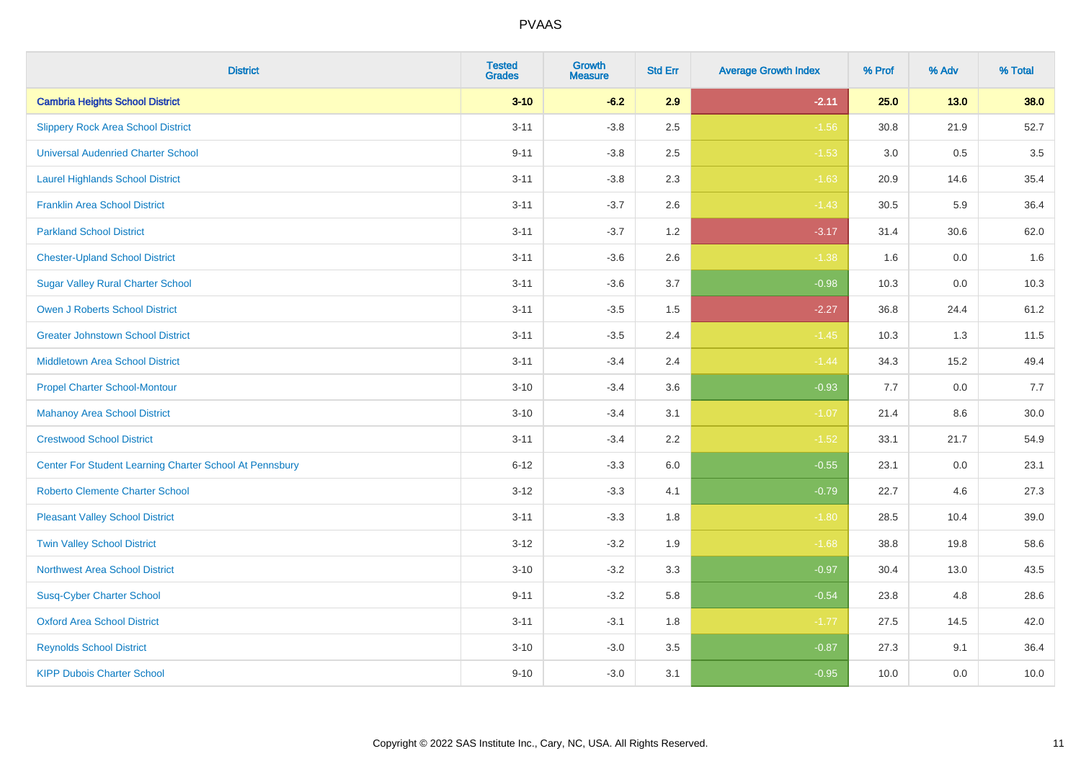| <b>District</b>                                         | <b>Tested</b><br><b>Grades</b> | <b>Growth</b><br><b>Measure</b> | <b>Std Err</b> | <b>Average Growth Index</b> | % Prof | % Adv   | % Total |
|---------------------------------------------------------|--------------------------------|---------------------------------|----------------|-----------------------------|--------|---------|---------|
| <b>Cambria Heights School District</b>                  | $3 - 10$                       | $-6.2$                          | 2.9            | $-2.11$                     | 25.0   | $13.0$  | 38.0    |
| <b>Slippery Rock Area School District</b>               | $3 - 11$                       | $-3.8$                          | 2.5            | $-1.56$                     | 30.8   | 21.9    | 52.7    |
| <b>Universal Audenried Charter School</b>               | $9 - 11$                       | $-3.8$                          | 2.5            | $-1.53$                     | 3.0    | 0.5     | 3.5     |
| <b>Laurel Highlands School District</b>                 | $3 - 11$                       | $-3.8$                          | 2.3            | $-1.63$                     | 20.9   | 14.6    | 35.4    |
| <b>Franklin Area School District</b>                    | $3 - 11$                       | $-3.7$                          | 2.6            | $-1.43$                     | 30.5   | 5.9     | 36.4    |
| <b>Parkland School District</b>                         | $3 - 11$                       | $-3.7$                          | 1.2            | $-3.17$                     | 31.4   | 30.6    | 62.0    |
| <b>Chester-Upland School District</b>                   | $3 - 11$                       | $-3.6$                          | 2.6            | $-1.38$                     | 1.6    | $0.0\,$ | 1.6     |
| <b>Sugar Valley Rural Charter School</b>                | $3 - 11$                       | $-3.6$                          | 3.7            | $-0.98$                     | 10.3   | 0.0     | 10.3    |
| <b>Owen J Roberts School District</b>                   | $3 - 11$                       | $-3.5$                          | 1.5            | $-2.27$                     | 36.8   | 24.4    | 61.2    |
| <b>Greater Johnstown School District</b>                | $3 - 11$                       | $-3.5$                          | 2.4            | $-1.45$                     | 10.3   | 1.3     | 11.5    |
| <b>Middletown Area School District</b>                  | $3 - 11$                       | $-3.4$                          | 2.4            | $-1.44$                     | 34.3   | 15.2    | 49.4    |
| <b>Propel Charter School-Montour</b>                    | $3 - 10$                       | $-3.4$                          | 3.6            | $-0.93$                     | 7.7    | 0.0     | 7.7     |
| <b>Mahanoy Area School District</b>                     | $3 - 10$                       | $-3.4$                          | 3.1            | $-1.07$                     | 21.4   | 8.6     | 30.0    |
| <b>Crestwood School District</b>                        | $3 - 11$                       | $-3.4$                          | 2.2            | $-1.52$                     | 33.1   | 21.7    | 54.9    |
| Center For Student Learning Charter School At Pennsbury | $6 - 12$                       | $-3.3$                          | 6.0            | $-0.55$                     | 23.1   | 0.0     | 23.1    |
| <b>Roberto Clemente Charter School</b>                  | $3 - 12$                       | $-3.3$                          | 4.1            | $-0.79$                     | 22.7   | 4.6     | 27.3    |
| <b>Pleasant Valley School District</b>                  | $3 - 11$                       | $-3.3$                          | 1.8            | $-1.80$                     | 28.5   | 10.4    | 39.0    |
| <b>Twin Valley School District</b>                      | $3 - 12$                       | $-3.2$                          | 1.9            | $-1.68$                     | 38.8   | 19.8    | 58.6    |
| <b>Northwest Area School District</b>                   | $3 - 10$                       | $-3.2$                          | 3.3            | $-0.97$                     | 30.4   | 13.0    | 43.5    |
| <b>Susq-Cyber Charter School</b>                        | $9 - 11$                       | $-3.2$                          | 5.8            | $-0.54$                     | 23.8   | 4.8     | 28.6    |
| <b>Oxford Area School District</b>                      | $3 - 11$                       | $-3.1$                          | 1.8            | $-1.77$                     | 27.5   | 14.5    | 42.0    |
| <b>Reynolds School District</b>                         | $3 - 10$                       | $-3.0$                          | 3.5            | $-0.87$                     | 27.3   | 9.1     | 36.4    |
| <b>KIPP Dubois Charter School</b>                       | $9 - 10$                       | $-3.0$                          | 3.1            | $-0.95$                     | 10.0   | 0.0     | 10.0    |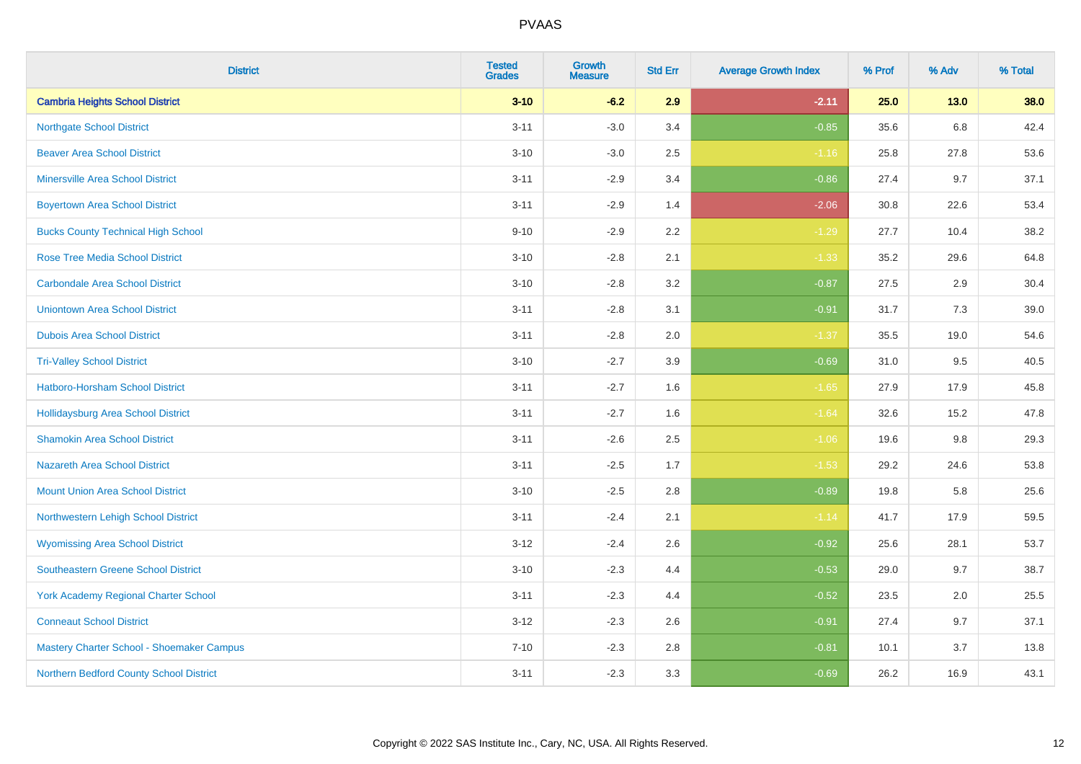| <b>District</b>                             | <b>Tested</b><br><b>Grades</b> | <b>Growth</b><br><b>Measure</b> | <b>Std Err</b> | <b>Average Growth Index</b> | % Prof | % Adv   | % Total |
|---------------------------------------------|--------------------------------|---------------------------------|----------------|-----------------------------|--------|---------|---------|
| <b>Cambria Heights School District</b>      | $3 - 10$                       | $-6.2$                          | 2.9            | $-2.11$                     | 25.0   | $13.0$  | 38.0    |
| <b>Northgate School District</b>            | $3 - 11$                       | $-3.0$                          | 3.4            | $-0.85$                     | 35.6   | $6.8\,$ | 42.4    |
| <b>Beaver Area School District</b>          | $3 - 10$                       | $-3.0$                          | 2.5            | $-1.16$                     | 25.8   | 27.8    | 53.6    |
| <b>Minersville Area School District</b>     | $3 - 11$                       | $-2.9$                          | 3.4            | $-0.86$                     | 27.4   | 9.7     | 37.1    |
| <b>Boyertown Area School District</b>       | $3 - 11$                       | $-2.9$                          | 1.4            | $-2.06$                     | 30.8   | 22.6    | 53.4    |
| <b>Bucks County Technical High School</b>   | $9 - 10$                       | $-2.9$                          | 2.2            | $-1.29$                     | 27.7   | 10.4    | 38.2    |
| <b>Rose Tree Media School District</b>      | $3 - 10$                       | $-2.8$                          | 2.1            | $-1.33$                     | 35.2   | 29.6    | 64.8    |
| <b>Carbondale Area School District</b>      | $3 - 10$                       | $-2.8$                          | 3.2            | $-0.87$                     | 27.5   | 2.9     | 30.4    |
| <b>Uniontown Area School District</b>       | $3 - 11$                       | $-2.8$                          | 3.1            | $-0.91$                     | 31.7   | 7.3     | 39.0    |
| <b>Dubois Area School District</b>          | $3 - 11$                       | $-2.8$                          | 2.0            | $-1.37$                     | 35.5   | 19.0    | 54.6    |
| <b>Tri-Valley School District</b>           | $3 - 10$                       | $-2.7$                          | 3.9            | $-0.69$                     | 31.0   | 9.5     | 40.5    |
| Hatboro-Horsham School District             | $3 - 11$                       | $-2.7$                          | 1.6            | $-1.65$                     | 27.9   | 17.9    | 45.8    |
| <b>Hollidaysburg Area School District</b>   | $3 - 11$                       | $-2.7$                          | 1.6            | $-1.64$                     | 32.6   | 15.2    | 47.8    |
| <b>Shamokin Area School District</b>        | $3 - 11$                       | $-2.6$                          | 2.5            | $-1.06$                     | 19.6   | $9.8\,$ | 29.3    |
| <b>Nazareth Area School District</b>        | $3 - 11$                       | $-2.5$                          | 1.7            | $-1.53$                     | 29.2   | 24.6    | 53.8    |
| Mount Union Area School District            | $3 - 10$                       | $-2.5$                          | 2.8            | $-0.89$                     | 19.8   | 5.8     | 25.6    |
| Northwestern Lehigh School District         | $3 - 11$                       | $-2.4$                          | 2.1            | $-1.14$                     | 41.7   | 17.9    | 59.5    |
| <b>Wyomissing Area School District</b>      | $3-12$                         | $-2.4$                          | 2.6            | $-0.92$                     | 25.6   | 28.1    | 53.7    |
| <b>Southeastern Greene School District</b>  | $3 - 10$                       | $-2.3$                          | 4.4            | $-0.53$                     | 29.0   | 9.7     | 38.7    |
| <b>York Academy Regional Charter School</b> | $3 - 11$                       | $-2.3$                          | 4.4            | $-0.52$                     | 23.5   | 2.0     | 25.5    |
| <b>Conneaut School District</b>             | $3 - 12$                       | $-2.3$                          | 2.6            | $-0.91$                     | 27.4   | 9.7     | 37.1    |
| Mastery Charter School - Shoemaker Campus   | $7 - 10$                       | $-2.3$                          | 2.8            | $-0.81$                     | 10.1   | 3.7     | 13.8    |
| Northern Bedford County School District     | $3 - 11$                       | $-2.3$                          | 3.3            | $-0.69$                     | 26.2   | 16.9    | 43.1    |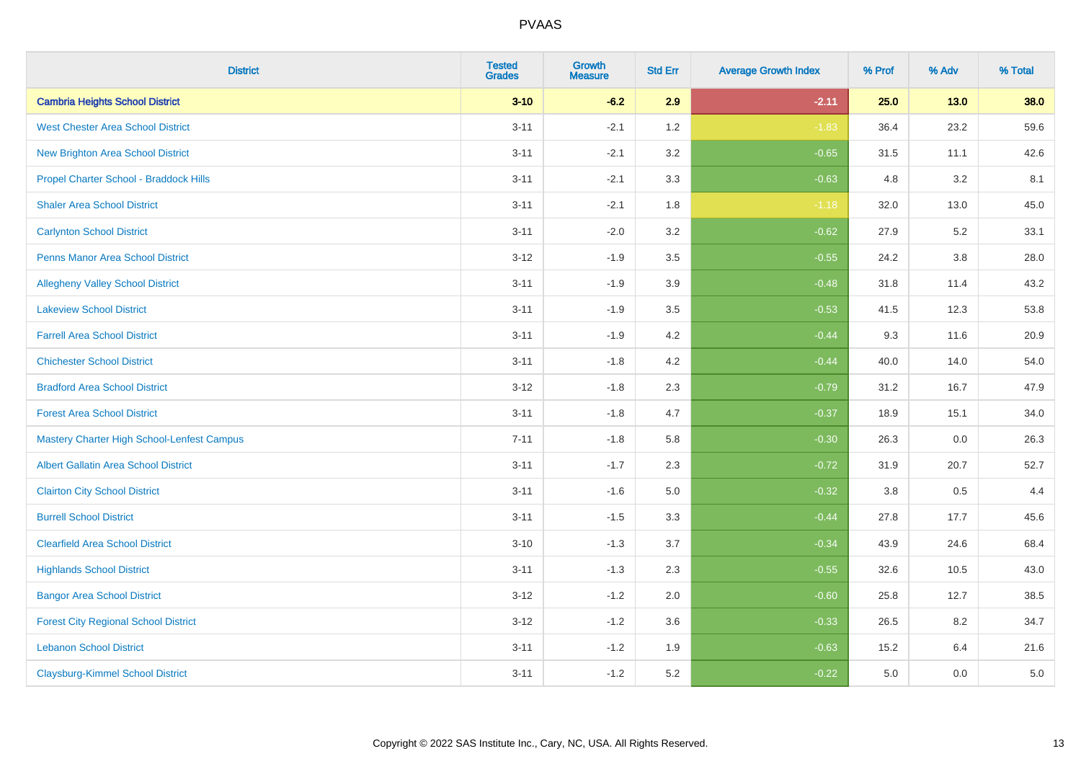| <b>District</b>                                   | <b>Tested</b><br><b>Grades</b> | <b>Growth</b><br><b>Measure</b> | <b>Std Err</b> | <b>Average Growth Index</b> | % Prof | % Adv   | % Total |
|---------------------------------------------------|--------------------------------|---------------------------------|----------------|-----------------------------|--------|---------|---------|
| <b>Cambria Heights School District</b>            | $3 - 10$                       | $-6.2$                          | 2.9            | $-2.11$                     | 25.0   | $13.0$  | 38.0    |
| <b>West Chester Area School District</b>          | $3 - 11$                       | $-2.1$                          | 1.2            | $-1.83$                     | 36.4   | 23.2    | 59.6    |
| <b>New Brighton Area School District</b>          | $3 - 11$                       | $-2.1$                          | 3.2            | $-0.65$                     | 31.5   | 11.1    | 42.6    |
| Propel Charter School - Braddock Hills            | $3 - 11$                       | $-2.1$                          | 3.3            | $-0.63$                     | 4.8    | 3.2     | 8.1     |
| <b>Shaler Area School District</b>                | $3 - 11$                       | $-2.1$                          | 1.8            | $-1.18$                     | 32.0   | 13.0    | 45.0    |
| <b>Carlynton School District</b>                  | $3 - 11$                       | $-2.0$                          | 3.2            | $-0.62$                     | 27.9   | 5.2     | 33.1    |
| <b>Penns Manor Area School District</b>           | $3 - 12$                       | $-1.9$                          | 3.5            | $-0.55$                     | 24.2   | $3.8\,$ | 28.0    |
| <b>Allegheny Valley School District</b>           | $3 - 11$                       | $-1.9$                          | 3.9            | $-0.48$                     | 31.8   | 11.4    | 43.2    |
| <b>Lakeview School District</b>                   | $3 - 11$                       | $-1.9$                          | 3.5            | $-0.53$                     | 41.5   | 12.3    | 53.8    |
| <b>Farrell Area School District</b>               | $3 - 11$                       | $-1.9$                          | 4.2            | $-0.44$                     | 9.3    | 11.6    | 20.9    |
| <b>Chichester School District</b>                 | $3 - 11$                       | $-1.8$                          | 4.2            | $-0.44$                     | 40.0   | 14.0    | 54.0    |
| <b>Bradford Area School District</b>              | $3 - 12$                       | $-1.8$                          | 2.3            | $-0.79$                     | 31.2   | 16.7    | 47.9    |
| <b>Forest Area School District</b>                | $3 - 11$                       | $-1.8$                          | 4.7            | $-0.37$                     | 18.9   | 15.1    | 34.0    |
| <b>Mastery Charter High School-Lenfest Campus</b> | $7 - 11$                       | $-1.8$                          | 5.8            | $-0.30$                     | 26.3   | 0.0     | 26.3    |
| <b>Albert Gallatin Area School District</b>       | $3 - 11$                       | $-1.7$                          | 2.3            | $-0.72$                     | 31.9   | 20.7    | 52.7    |
| <b>Clairton City School District</b>              | $3 - 11$                       | $-1.6$                          | 5.0            | $-0.32$                     | 3.8    | 0.5     | 4.4     |
| <b>Burrell School District</b>                    | $3 - 11$                       | $-1.5$                          | 3.3            | $-0.44$                     | 27.8   | 17.7    | 45.6    |
| <b>Clearfield Area School District</b>            | $3 - 10$                       | $-1.3$                          | 3.7            | $-0.34$                     | 43.9   | 24.6    | 68.4    |
| <b>Highlands School District</b>                  | $3 - 11$                       | $-1.3$                          | 2.3            | $-0.55$                     | 32.6   | 10.5    | 43.0    |
| <b>Bangor Area School District</b>                | $3 - 12$                       | $-1.2$                          | 2.0            | $-0.60$                     | 25.8   | 12.7    | 38.5    |
| <b>Forest City Regional School District</b>       | $3 - 12$                       | $-1.2$                          | 3.6            | $-0.33$                     | 26.5   | 8.2     | 34.7    |
| <b>Lebanon School District</b>                    | $3 - 11$                       | $-1.2$                          | 1.9            | $-0.63$                     | 15.2   | 6.4     | 21.6    |
| <b>Claysburg-Kimmel School District</b>           | $3 - 11$                       | $-1.2$                          | 5.2            | $-0.22$                     | 5.0    | 0.0     | 5.0     |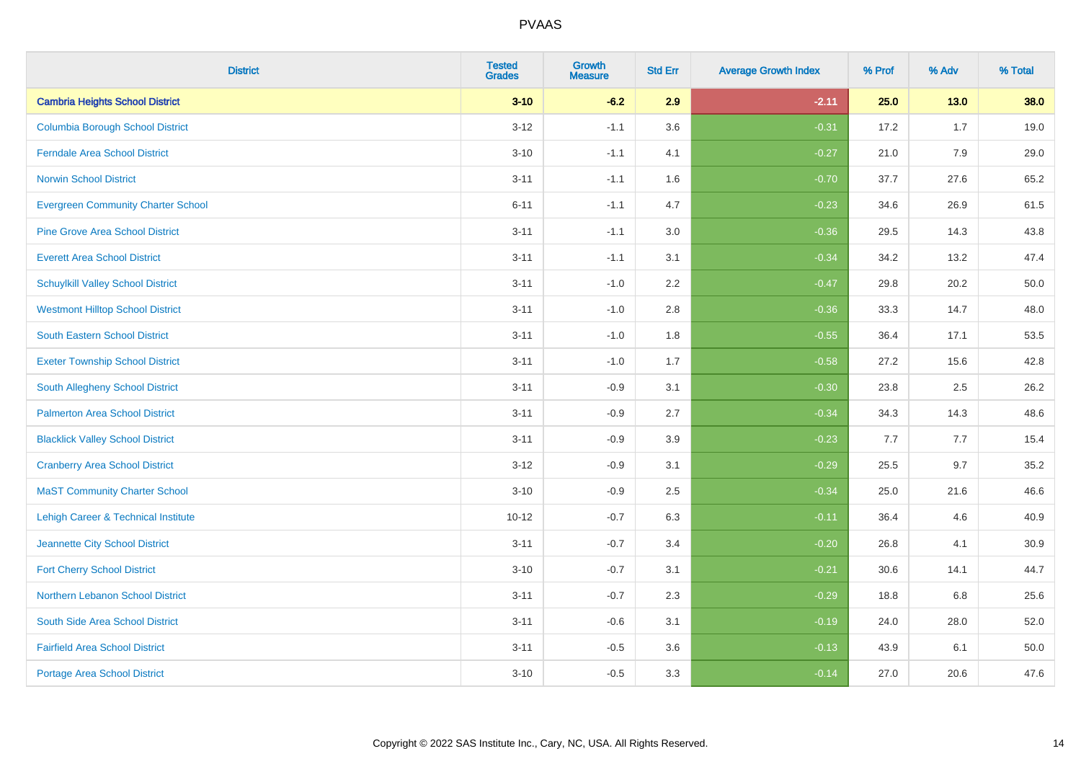| <b>District</b>                           | <b>Tested</b><br><b>Grades</b> | <b>Growth</b><br><b>Measure</b> | <b>Std Err</b> | <b>Average Growth Index</b> | % Prof | % Adv  | % Total |
|-------------------------------------------|--------------------------------|---------------------------------|----------------|-----------------------------|--------|--------|---------|
| <b>Cambria Heights School District</b>    | $3 - 10$                       | $-6.2$                          | 2.9            | $-2.11$                     | 25.0   | $13.0$ | 38.0    |
| <b>Columbia Borough School District</b>   | $3 - 12$                       | $-1.1$                          | 3.6            | $-0.31$                     | 17.2   | 1.7    | 19.0    |
| <b>Ferndale Area School District</b>      | $3 - 10$                       | $-1.1$                          | 4.1            | $-0.27$                     | 21.0   | 7.9    | 29.0    |
| <b>Norwin School District</b>             | $3 - 11$                       | $-1.1$                          | 1.6            | $-0.70$                     | 37.7   | 27.6   | 65.2    |
| <b>Evergreen Community Charter School</b> | $6 - 11$                       | $-1.1$                          | 4.7            | $-0.23$                     | 34.6   | 26.9   | 61.5    |
| <b>Pine Grove Area School District</b>    | $3 - 11$                       | $-1.1$                          | 3.0            | $-0.36$                     | 29.5   | 14.3   | 43.8    |
| <b>Everett Area School District</b>       | $3 - 11$                       | $-1.1$                          | 3.1            | $-0.34$                     | 34.2   | 13.2   | 47.4    |
| <b>Schuylkill Valley School District</b>  | $3 - 11$                       | $-1.0$                          | 2.2            | $-0.47$                     | 29.8   | 20.2   | 50.0    |
| <b>Westmont Hilltop School District</b>   | $3 - 11$                       | $-1.0$                          | 2.8            | $-0.36$                     | 33.3   | 14.7   | 48.0    |
| South Eastern School District             | $3 - 11$                       | $-1.0$                          | 1.8            | $-0.55$                     | 36.4   | 17.1   | 53.5    |
| <b>Exeter Township School District</b>    | $3 - 11$                       | $-1.0$                          | 1.7            | $-0.58$                     | 27.2   | 15.6   | 42.8    |
| South Allegheny School District           | $3 - 11$                       | $-0.9$                          | 3.1            | $-0.30$                     | 23.8   | 2.5    | 26.2    |
| <b>Palmerton Area School District</b>     | $3 - 11$                       | $-0.9$                          | 2.7            | $-0.34$                     | 34.3   | 14.3   | 48.6    |
| <b>Blacklick Valley School District</b>   | $3 - 11$                       | $-0.9$                          | 3.9            | $-0.23$                     | 7.7    | 7.7    | 15.4    |
| <b>Cranberry Area School District</b>     | $3 - 12$                       | $-0.9$                          | 3.1            | $-0.29$                     | 25.5   | 9.7    | 35.2    |
| <b>MaST Community Charter School</b>      | $3 - 10$                       | $-0.9$                          | 2.5            | $-0.34$                     | 25.0   | 21.6   | 46.6    |
| Lehigh Career & Technical Institute       | $10 - 12$                      | $-0.7$                          | 6.3            | $-0.11$                     | 36.4   | 4.6    | 40.9    |
| Jeannette City School District            | $3 - 11$                       | $-0.7$                          | 3.4            | $-0.20$                     | 26.8   | 4.1    | 30.9    |
| <b>Fort Cherry School District</b>        | $3 - 10$                       | $-0.7$                          | 3.1            | $-0.21$                     | 30.6   | 14.1   | 44.7    |
| Northern Lebanon School District          | $3 - 11$                       | $-0.7$                          | 2.3            | $-0.29$                     | 18.8   | 6.8    | 25.6    |
| South Side Area School District           | $3 - 11$                       | $-0.6$                          | 3.1            | $-0.19$                     | 24.0   | 28.0   | 52.0    |
| <b>Fairfield Area School District</b>     | $3 - 11$                       | $-0.5$                          | 3.6            | $-0.13$                     | 43.9   | 6.1    | 50.0    |
| <b>Portage Area School District</b>       | $3 - 10$                       | $-0.5$                          | 3.3            | $-0.14$                     | 27.0   | 20.6   | 47.6    |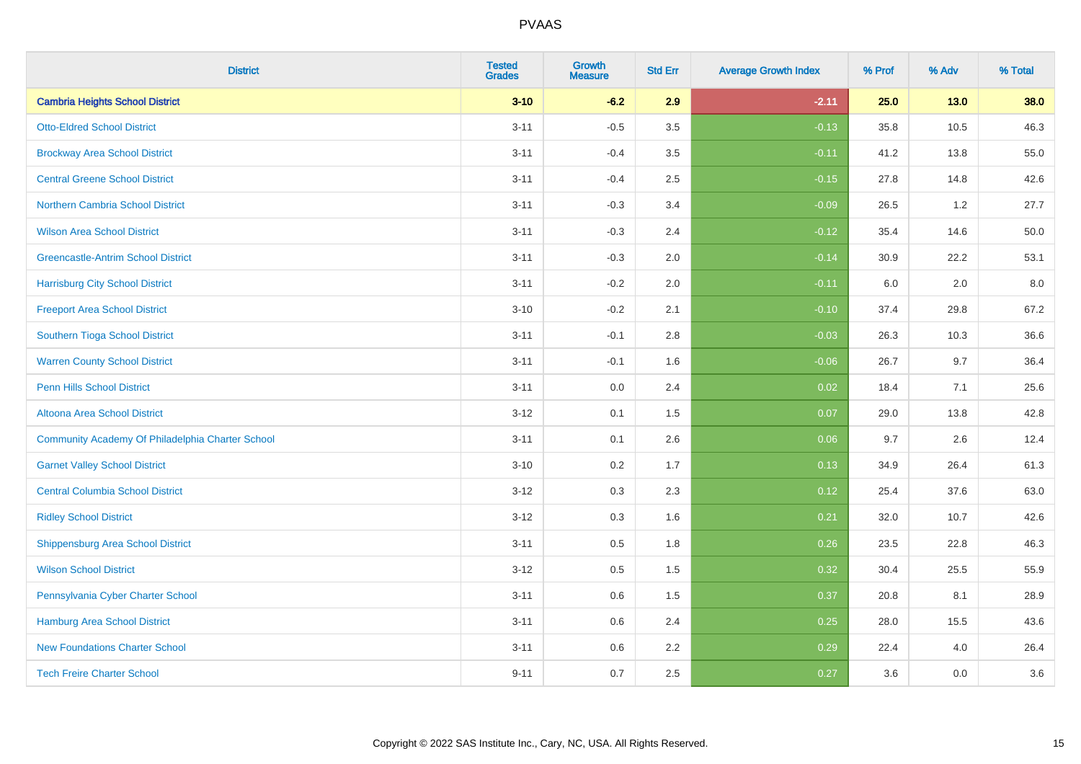| <b>District</b>                                  | <b>Tested</b><br><b>Grades</b> | <b>Growth</b><br><b>Measure</b> | <b>Std Err</b> | <b>Average Growth Index</b> | % Prof | % Adv | % Total |
|--------------------------------------------------|--------------------------------|---------------------------------|----------------|-----------------------------|--------|-------|---------|
| <b>Cambria Heights School District</b>           | $3 - 10$                       | $-6.2$                          | 2.9            | $-2.11$                     | 25.0   | 13.0  | 38.0    |
| <b>Otto-Eldred School District</b>               | $3 - 11$                       | $-0.5$                          | 3.5            | $-0.13$                     | 35.8   | 10.5  | 46.3    |
| <b>Brockway Area School District</b>             | $3 - 11$                       | $-0.4$                          | 3.5            | $-0.11$                     | 41.2   | 13.8  | 55.0    |
| <b>Central Greene School District</b>            | $3 - 11$                       | $-0.4$                          | 2.5            | $-0.15$                     | 27.8   | 14.8  | 42.6    |
| <b>Northern Cambria School District</b>          | $3 - 11$                       | $-0.3$                          | 3.4            | $-0.09$                     | 26.5   | 1.2   | 27.7    |
| <b>Wilson Area School District</b>               | $3 - 11$                       | $-0.3$                          | 2.4            | $-0.12$                     | 35.4   | 14.6  | 50.0    |
| <b>Greencastle-Antrim School District</b>        | $3 - 11$                       | $-0.3$                          | 2.0            | $-0.14$                     | 30.9   | 22.2  | 53.1    |
| <b>Harrisburg City School District</b>           | $3 - 11$                       | $-0.2$                          | 2.0            | $-0.11$                     | 6.0    | 2.0   | 8.0     |
| <b>Freeport Area School District</b>             | $3 - 10$                       | $-0.2$                          | 2.1            | $-0.10$                     | 37.4   | 29.8  | 67.2    |
| Southern Tioga School District                   | $3 - 11$                       | $-0.1$                          | 2.8            | $-0.03$                     | 26.3   | 10.3  | 36.6    |
| <b>Warren County School District</b>             | $3 - 11$                       | $-0.1$                          | 1.6            | $-0.06$                     | 26.7   | 9.7   | 36.4    |
| <b>Penn Hills School District</b>                | $3 - 11$                       | 0.0                             | 2.4            | 0.02                        | 18.4   | 7.1   | 25.6    |
| Altoona Area School District                     | $3 - 12$                       | 0.1                             | 1.5            | 0.07                        | 29.0   | 13.8  | 42.8    |
| Community Academy Of Philadelphia Charter School | $3 - 11$                       | 0.1                             | 2.6            | 0.06                        | 9.7    | 2.6   | 12.4    |
| <b>Garnet Valley School District</b>             | $3 - 10$                       | 0.2                             | 1.7            | 0.13                        | 34.9   | 26.4  | 61.3    |
| <b>Central Columbia School District</b>          | $3 - 12$                       | 0.3                             | 2.3            | 0.12                        | 25.4   | 37.6  | 63.0    |
| <b>Ridley School District</b>                    | $3 - 12$                       | 0.3                             | 1.6            | 0.21                        | 32.0   | 10.7  | 42.6    |
| <b>Shippensburg Area School District</b>         | $3 - 11$                       | 0.5                             | 1.8            | 0.26                        | 23.5   | 22.8  | 46.3    |
| <b>Wilson School District</b>                    | $3 - 12$                       | 0.5                             | 1.5            | 0.32                        | 30.4   | 25.5  | 55.9    |
| Pennsylvania Cyber Charter School                | $3 - 11$                       | 0.6                             | 1.5            | 0.37                        | 20.8   | 8.1   | 28.9    |
| <b>Hamburg Area School District</b>              | $3 - 11$                       | 0.6                             | 2.4            | 0.25                        | 28.0   | 15.5  | 43.6    |
| <b>New Foundations Charter School</b>            | $3 - 11$                       | 0.6                             | 2.2            | 0.29                        | 22.4   | 4.0   | 26.4    |
| <b>Tech Freire Charter School</b>                | $9 - 11$                       | 0.7                             | 2.5            | 0.27                        | 3.6    | 0.0   | 3.6     |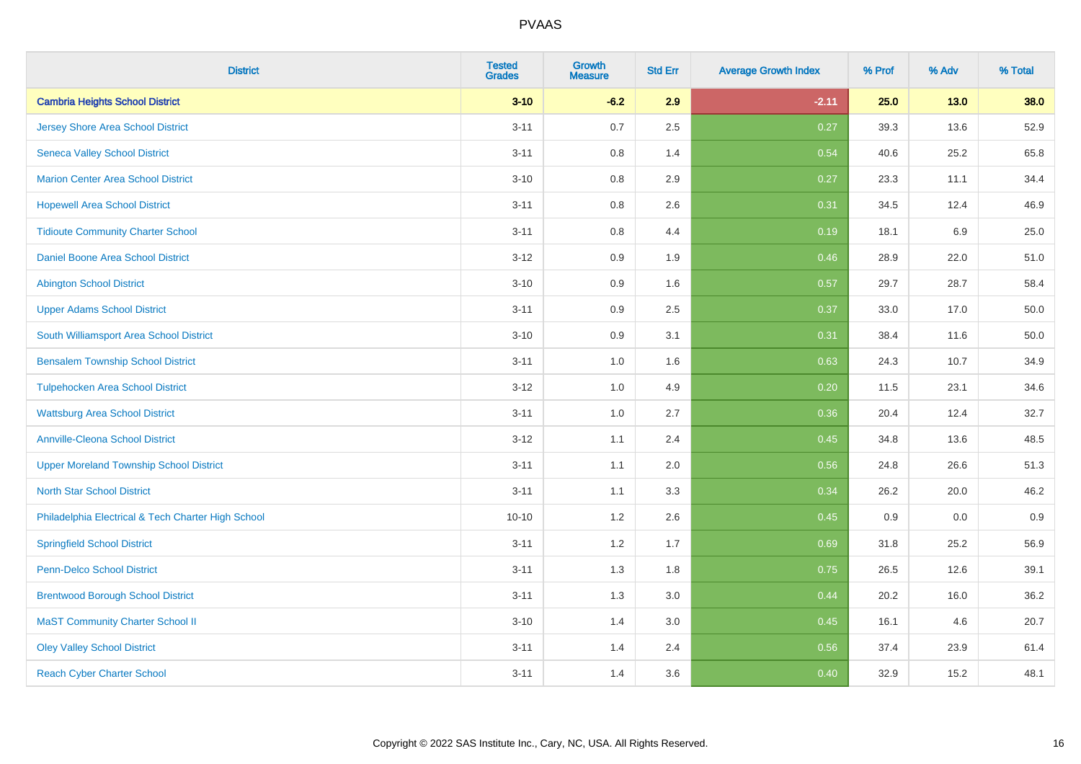| <b>District</b>                                    | <b>Tested</b><br><b>Grades</b> | <b>Growth</b><br><b>Measure</b> | <b>Std Err</b> | <b>Average Growth Index</b> | % Prof | % Adv  | % Total |
|----------------------------------------------------|--------------------------------|---------------------------------|----------------|-----------------------------|--------|--------|---------|
| <b>Cambria Heights School District</b>             | $3 - 10$                       | $-6.2$                          | 2.9            | $-2.11$                     | 25.0   | $13.0$ | 38.0    |
| <b>Jersey Shore Area School District</b>           | $3 - 11$                       | 0.7                             | 2.5            | 0.27                        | 39.3   | 13.6   | 52.9    |
| <b>Seneca Valley School District</b>               | $3 - 11$                       | 0.8                             | 1.4            | 0.54                        | 40.6   | 25.2   | 65.8    |
| <b>Marion Center Area School District</b>          | $3 - 10$                       | 0.8                             | 2.9            | 0.27                        | 23.3   | 11.1   | 34.4    |
| <b>Hopewell Area School District</b>               | $3 - 11$                       | 0.8                             | 2.6            | 0.31                        | 34.5   | 12.4   | 46.9    |
| <b>Tidioute Community Charter School</b>           | $3 - 11$                       | 0.8                             | 4.4            | 0.19                        | 18.1   | 6.9    | 25.0    |
| Daniel Boone Area School District                  | $3 - 12$                       | 0.9                             | 1.9            | 0.46                        | 28.9   | 22.0   | 51.0    |
| <b>Abington School District</b>                    | $3 - 10$                       | 0.9                             | 1.6            | 0.57                        | 29.7   | 28.7   | 58.4    |
| <b>Upper Adams School District</b>                 | $3 - 11$                       | 0.9                             | 2.5            | 0.37                        | 33.0   | 17.0   | 50.0    |
| South Williamsport Area School District            | $3 - 10$                       | 0.9                             | 3.1            | 0.31                        | 38.4   | 11.6   | 50.0    |
| <b>Bensalem Township School District</b>           | $3 - 11$                       | 1.0                             | 1.6            | 0.63                        | 24.3   | 10.7   | 34.9    |
| <b>Tulpehocken Area School District</b>            | $3 - 12$                       | 1.0                             | 4.9            | 0.20                        | 11.5   | 23.1   | 34.6    |
| <b>Wattsburg Area School District</b>              | $3 - 11$                       | 1.0                             | 2.7            | 0.36                        | 20.4   | 12.4   | 32.7    |
| <b>Annville-Cleona School District</b>             | $3 - 12$                       | 1.1                             | 2.4            | 0.45                        | 34.8   | 13.6   | 48.5    |
| <b>Upper Moreland Township School District</b>     | $3 - 11$                       | 1.1                             | 2.0            | 0.56                        | 24.8   | 26.6   | 51.3    |
| <b>North Star School District</b>                  | $3 - 11$                       | 1.1                             | 3.3            | 0.34                        | 26.2   | 20.0   | 46.2    |
| Philadelphia Electrical & Tech Charter High School | $10 - 10$                      | $1.2\,$                         | 2.6            | 0.45                        | 0.9    | 0.0    | 0.9     |
| <b>Springfield School District</b>                 | $3 - 11$                       | 1.2                             | 1.7            | 0.69                        | 31.8   | 25.2   | 56.9    |
| <b>Penn-Delco School District</b>                  | $3 - 11$                       | 1.3                             | 1.8            | 0.75                        | 26.5   | 12.6   | 39.1    |
| <b>Brentwood Borough School District</b>           | $3 - 11$                       | 1.3                             | 3.0            | 0.44                        | 20.2   | 16.0   | 36.2    |
| <b>MaST Community Charter School II</b>            | $3 - 10$                       | 1.4                             | 3.0            | 0.45                        | 16.1   | 4.6    | 20.7    |
| <b>Oley Valley School District</b>                 | $3 - 11$                       | 1.4                             | 2.4            | 0.56                        | 37.4   | 23.9   | 61.4    |
| <b>Reach Cyber Charter School</b>                  | $3 - 11$                       | 1.4                             | 3.6            | 0.40                        | 32.9   | 15.2   | 48.1    |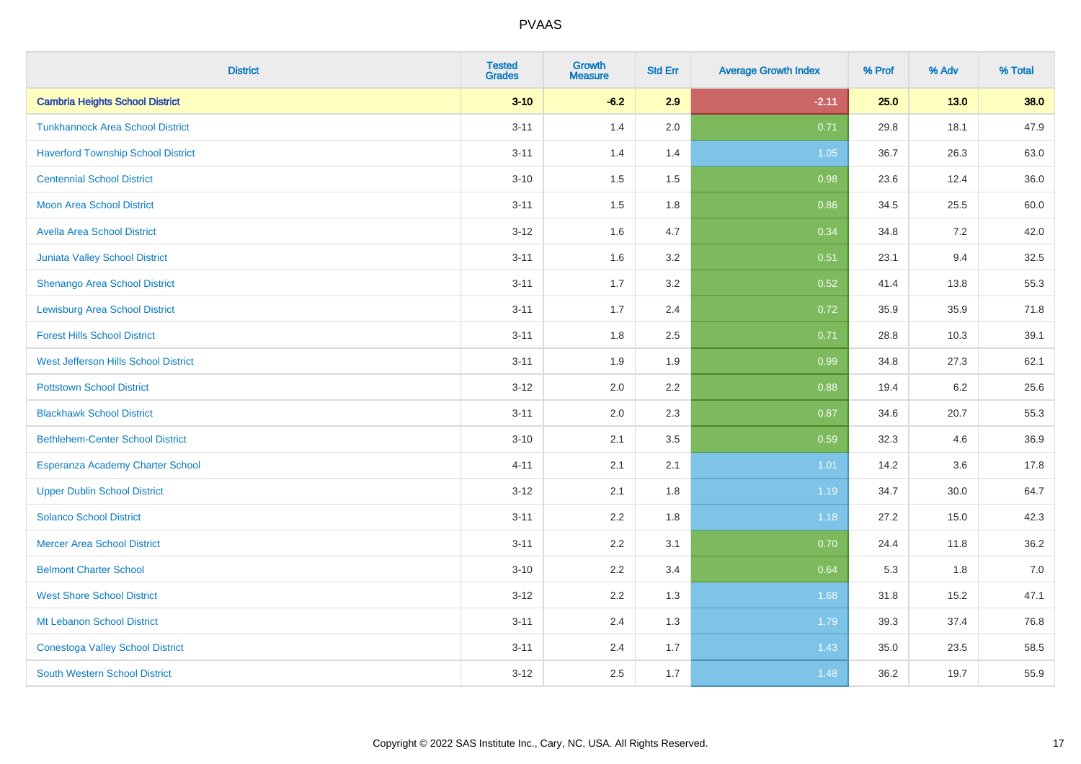| <b>District</b>                           | <b>Tested</b><br><b>Grades</b> | <b>Growth</b><br><b>Measure</b> | <b>Std Err</b> | <b>Average Growth Index</b> | % Prof | % Adv  | % Total |
|-------------------------------------------|--------------------------------|---------------------------------|----------------|-----------------------------|--------|--------|---------|
| <b>Cambria Heights School District</b>    | $3 - 10$                       | $-6.2$                          | 2.9            | $-2.11$                     | 25.0   | $13.0$ | 38.0    |
| <b>Tunkhannock Area School District</b>   | $3 - 11$                       | 1.4                             | 2.0            | 0.71                        | 29.8   | 18.1   | 47.9    |
| <b>Haverford Township School District</b> | $3 - 11$                       | 1.4                             | 1.4            | 1.05                        | 36.7   | 26.3   | 63.0    |
| <b>Centennial School District</b>         | $3 - 10$                       | 1.5                             | 1.5            | 0.98                        | 23.6   | 12.4   | 36.0    |
| <b>Moon Area School District</b>          | $3 - 11$                       | 1.5                             | 1.8            | 0.86                        | 34.5   | 25.5   | 60.0    |
| <b>Avella Area School District</b>        | $3 - 12$                       | 1.6                             | 4.7            | 0.34                        | 34.8   | 7.2    | 42.0    |
| <b>Juniata Valley School District</b>     | $3 - 11$                       | 1.6                             | 3.2            | 0.51                        | 23.1   | 9.4    | 32.5    |
| <b>Shenango Area School District</b>      | $3 - 11$                       | 1.7                             | 3.2            | 0.52                        | 41.4   | 13.8   | 55.3    |
| <b>Lewisburg Area School District</b>     | $3 - 11$                       | 1.7                             | 2.4            | 0.72                        | 35.9   | 35.9   | 71.8    |
| <b>Forest Hills School District</b>       | $3 - 11$                       | 1.8                             | 2.5            | 0.71                        | 28.8   | 10.3   | 39.1    |
| West Jefferson Hills School District      | $3 - 11$                       | 1.9                             | 1.9            | 0.99                        | 34.8   | 27.3   | 62.1    |
| <b>Pottstown School District</b>          | $3 - 12$                       | 2.0                             | 2.2            | 0.88                        | 19.4   | 6.2    | 25.6    |
| <b>Blackhawk School District</b>          | $3 - 11$                       | 2.0                             | 2.3            | 0.87                        | 34.6   | 20.7   | 55.3    |
| <b>Bethlehem-Center School District</b>   | $3 - 10$                       | 2.1                             | 3.5            | 0.59                        | 32.3   | 4.6    | 36.9    |
| Esperanza Academy Charter School          | $4 - 11$                       | 2.1                             | 2.1            | 1.01                        | 14.2   | 3.6    | 17.8    |
| <b>Upper Dublin School District</b>       | $3 - 12$                       | 2.1                             | 1.8            | 1.19                        | 34.7   | 30.0   | 64.7    |
| <b>Solanco School District</b>            | $3 - 11$                       | 2.2                             | 1.8            | 1.18                        | 27.2   | 15.0   | 42.3    |
| <b>Mercer Area School District</b>        | $3 - 11$                       | 2.2                             | 3.1            | 0.70                        | 24.4   | 11.8   | 36.2    |
| <b>Belmont Charter School</b>             | $3 - 10$                       | 2.2                             | 3.4            | 0.64                        | 5.3    | 1.8    | $7.0$   |
| <b>West Shore School District</b>         | $3 - 12$                       | 2.2                             | 1.3            | 1.68                        | 31.8   | 15.2   | 47.1    |
| Mt Lebanon School District                | $3 - 11$                       | 2.4                             | 1.3            | 1.79                        | 39.3   | 37.4   | 76.8    |
| <b>Conestoga Valley School District</b>   | $3 - 11$                       | 2.4                             | 1.7            | 1.43                        | 35.0   | 23.5   | 58.5    |
| <b>South Western School District</b>      | $3 - 12$                       | 2.5                             | 1.7            | 1.48                        | 36.2   | 19.7   | 55.9    |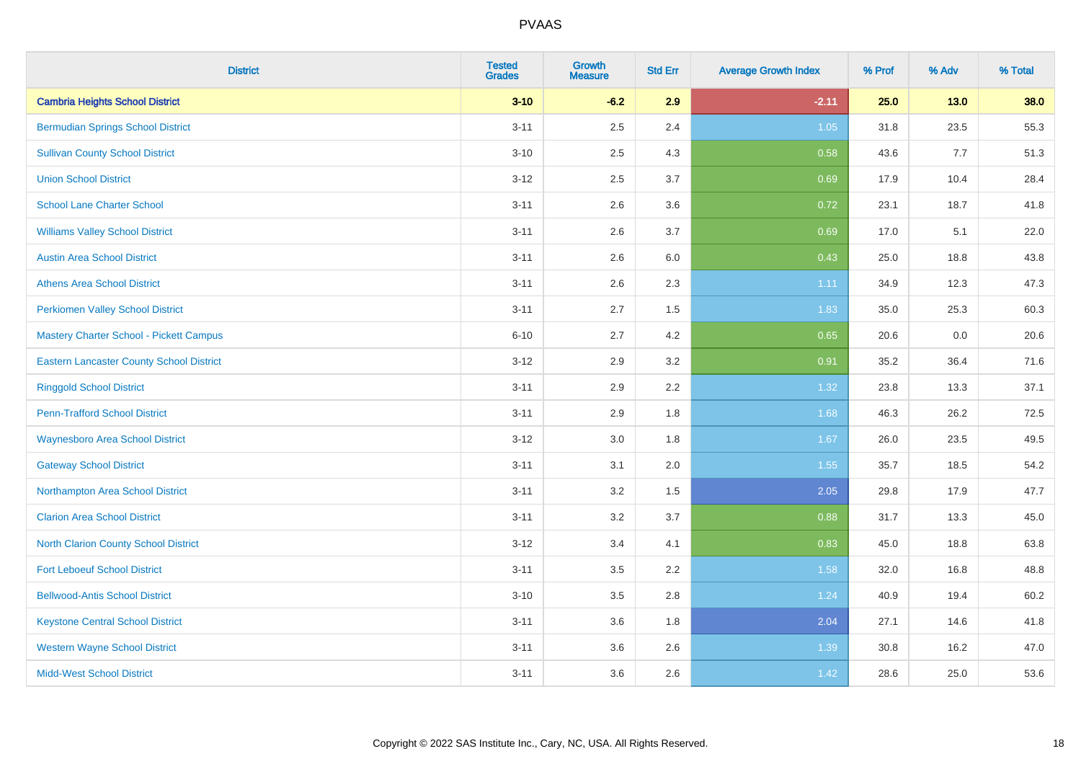| <b>District</b>                                 | <b>Tested</b><br><b>Grades</b> | <b>Growth</b><br><b>Measure</b> | <b>Std Err</b> | <b>Average Growth Index</b> | % Prof | % Adv | % Total |
|-------------------------------------------------|--------------------------------|---------------------------------|----------------|-----------------------------|--------|-------|---------|
| <b>Cambria Heights School District</b>          | $3 - 10$                       | $-6.2$                          | 2.9            | $-2.11$                     | 25.0   | 13.0  | 38.0    |
| <b>Bermudian Springs School District</b>        | $3 - 11$                       | 2.5                             | 2.4            | $1.05$                      | 31.8   | 23.5  | 55.3    |
| <b>Sullivan County School District</b>          | $3 - 10$                       | 2.5                             | 4.3            | 0.58                        | 43.6   | 7.7   | 51.3    |
| <b>Union School District</b>                    | $3 - 12$                       | 2.5                             | 3.7            | 0.69                        | 17.9   | 10.4  | 28.4    |
| <b>School Lane Charter School</b>               | $3 - 11$                       | 2.6                             | 3.6            | 0.72                        | 23.1   | 18.7  | 41.8    |
| <b>Williams Valley School District</b>          | $3 - 11$                       | 2.6                             | 3.7            | 0.69                        | 17.0   | 5.1   | 22.0    |
| <b>Austin Area School District</b>              | $3 - 11$                       | 2.6                             | 6.0            | 0.43                        | 25.0   | 18.8  | 43.8    |
| <b>Athens Area School District</b>              | $3 - 11$                       | 2.6                             | 2.3            | 1.11                        | 34.9   | 12.3  | 47.3    |
| <b>Perkiomen Valley School District</b>         | $3 - 11$                       | 2.7                             | 1.5            | 1.83                        | 35.0   | 25.3  | 60.3    |
| <b>Mastery Charter School - Pickett Campus</b>  | $6 - 10$                       | 2.7                             | 4.2            | 0.65                        | 20.6   | 0.0   | 20.6    |
| <b>Eastern Lancaster County School District</b> | $3 - 12$                       | 2.9                             | 3.2            | 0.91                        | 35.2   | 36.4  | 71.6    |
| <b>Ringgold School District</b>                 | $3 - 11$                       | 2.9                             | 2.2            | 1.32                        | 23.8   | 13.3  | 37.1    |
| <b>Penn-Trafford School District</b>            | $3 - 11$                       | 2.9                             | 1.8            | 1.68                        | 46.3   | 26.2  | 72.5    |
| <b>Waynesboro Area School District</b>          | $3 - 12$                       | 3.0                             | 1.8            | 1.67                        | 26.0   | 23.5  | 49.5    |
| <b>Gateway School District</b>                  | $3 - 11$                       | 3.1                             | 2.0            | 1.55                        | 35.7   | 18.5  | 54.2    |
| Northampton Area School District                | $3 - 11$                       | 3.2                             | 1.5            | 2.05                        | 29.8   | 17.9  | 47.7    |
| <b>Clarion Area School District</b>             | $3 - 11$                       | $3.2\,$                         | 3.7            | 0.88                        | 31.7   | 13.3  | 45.0    |
| North Clarion County School District            | $3 - 12$                       | 3.4                             | 4.1            | 0.83                        | 45.0   | 18.8  | 63.8    |
| <b>Fort Leboeuf School District</b>             | $3 - 11$                       | 3.5                             | 2.2            | 1.58                        | 32.0   | 16.8  | 48.8    |
| <b>Bellwood-Antis School District</b>           | $3 - 10$                       | 3.5                             | 2.8            | 1.24                        | 40.9   | 19.4  | 60.2    |
| <b>Keystone Central School District</b>         | $3 - 11$                       | 3.6                             | 1.8            | 2.04                        | 27.1   | 14.6  | 41.8    |
| <b>Western Wayne School District</b>            | $3 - 11$                       | 3.6                             | 2.6            | 1.39                        | 30.8   | 16.2  | 47.0    |
| <b>Midd-West School District</b>                | $3 - 11$                       | 3.6                             | 2.6            | 1.42                        | 28.6   | 25.0  | 53.6    |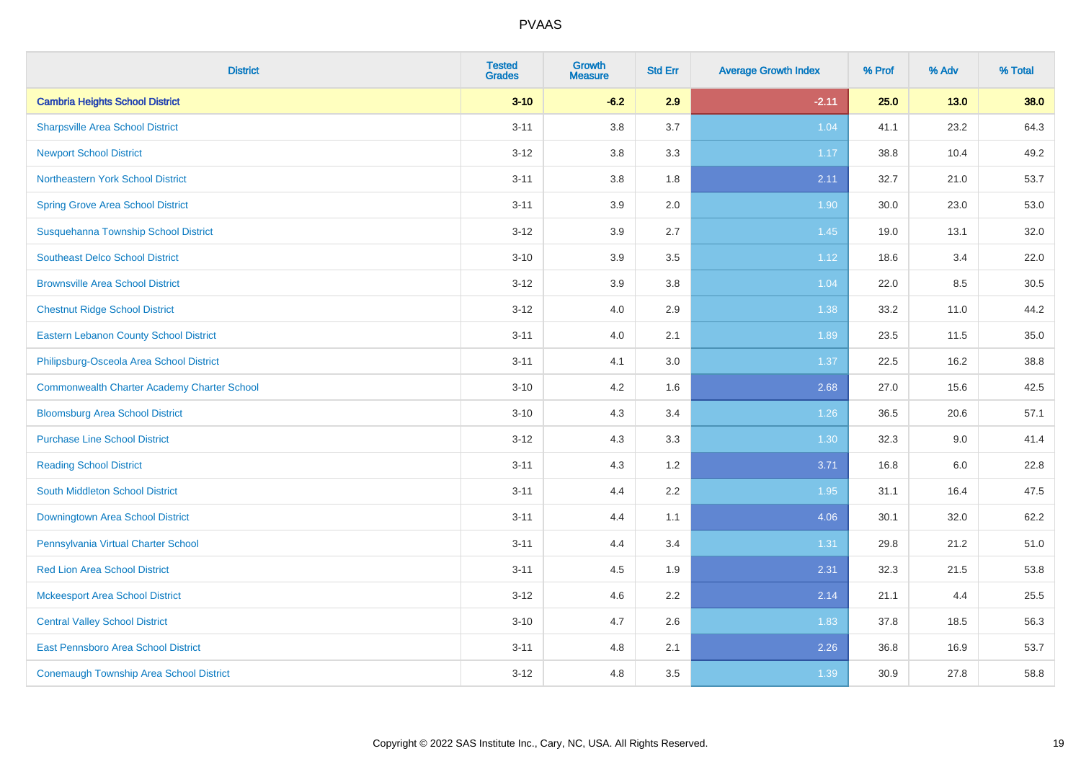| <b>District</b>                                    | <b>Tested</b><br><b>Grades</b> | <b>Growth</b><br><b>Measure</b> | <b>Std Err</b> | <b>Average Growth Index</b> | % Prof | % Adv  | % Total |
|----------------------------------------------------|--------------------------------|---------------------------------|----------------|-----------------------------|--------|--------|---------|
| <b>Cambria Heights School District</b>             | $3 - 10$                       | $-6.2$                          | 2.9            | $-2.11$                     | 25.0   | $13.0$ | 38.0    |
| <b>Sharpsville Area School District</b>            | $3 - 11$                       | 3.8                             | 3.7            | 1.04                        | 41.1   | 23.2   | 64.3    |
| <b>Newport School District</b>                     | $3 - 12$                       | 3.8                             | 3.3            | 1.17                        | 38.8   | 10.4   | 49.2    |
| Northeastern York School District                  | $3 - 11$                       | 3.8                             | 1.8            | 2.11                        | 32.7   | 21.0   | 53.7    |
| <b>Spring Grove Area School District</b>           | $3 - 11$                       | 3.9                             | 2.0            | 1.90                        | 30.0   | 23.0   | 53.0    |
| Susquehanna Township School District               | $3 - 12$                       | 3.9                             | 2.7            | 1.45                        | 19.0   | 13.1   | 32.0    |
| <b>Southeast Delco School District</b>             | $3 - 10$                       | 3.9                             | 3.5            | 1.12                        | 18.6   | 3.4    | 22.0    |
| <b>Brownsville Area School District</b>            | $3 - 12$                       | 3.9                             | 3.8            | 1.04                        | 22.0   | 8.5    | 30.5    |
| <b>Chestnut Ridge School District</b>              | $3 - 12$                       | 4.0                             | 2.9            | 1.38                        | 33.2   | 11.0   | 44.2    |
| <b>Eastern Lebanon County School District</b>      | $3 - 11$                       | 4.0                             | 2.1            | 1.89                        | 23.5   | 11.5   | 35.0    |
| Philipsburg-Osceola Area School District           | $3 - 11$                       | 4.1                             | 3.0            | 1.37                        | 22.5   | 16.2   | 38.8    |
| <b>Commonwealth Charter Academy Charter School</b> | $3 - 10$                       | 4.2                             | 1.6            | 2.68                        | 27.0   | 15.6   | 42.5    |
| <b>Bloomsburg Area School District</b>             | $3 - 10$                       | 4.3                             | 3.4            | 1.26                        | 36.5   | 20.6   | 57.1    |
| <b>Purchase Line School District</b>               | $3 - 12$                       | 4.3                             | 3.3            | 1.30                        | 32.3   | 9.0    | 41.4    |
| <b>Reading School District</b>                     | $3 - 11$                       | 4.3                             | 1.2            | 3.71                        | 16.8   | 6.0    | 22.8    |
| South Middleton School District                    | $3 - 11$                       | 4.4                             | 2.2            | 1.95                        | 31.1   | 16.4   | 47.5    |
| <b>Downingtown Area School District</b>            | $3 - 11$                       | 4.4                             | 1.1            | 4.06                        | 30.1   | 32.0   | 62.2    |
| Pennsylvania Virtual Charter School                | $3 - 11$                       | 4.4                             | 3.4            | 1.31                        | 29.8   | 21.2   | 51.0    |
| <b>Red Lion Area School District</b>               | $3 - 11$                       | 4.5                             | 1.9            | 2.31                        | 32.3   | 21.5   | 53.8    |
| <b>Mckeesport Area School District</b>             | $3 - 12$                       | 4.6                             | 2.2            | 2.14                        | 21.1   | 4.4    | 25.5    |
| <b>Central Valley School District</b>              | $3 - 10$                       | 4.7                             | 2.6            | 1.83                        | 37.8   | 18.5   | 56.3    |
| <b>East Pennsboro Area School District</b>         | $3 - 11$                       | 4.8                             | 2.1            | 2.26                        | 36.8   | 16.9   | 53.7    |
| <b>Conemaugh Township Area School District</b>     | $3 - 12$                       | 4.8                             | 3.5            | 1.39                        | 30.9   | 27.8   | 58.8    |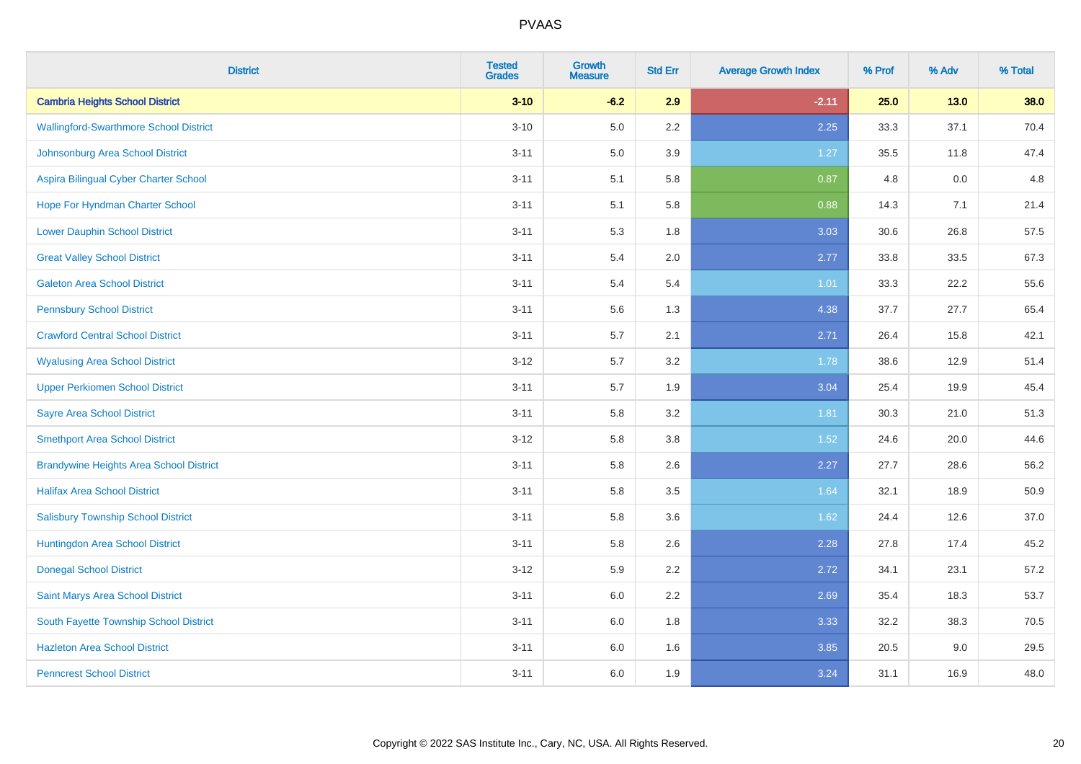| <b>District</b>                                | <b>Tested</b><br><b>Grades</b> | <b>Growth</b><br><b>Measure</b> | <b>Std Err</b> | <b>Average Growth Index</b> | % Prof | % Adv | % Total |
|------------------------------------------------|--------------------------------|---------------------------------|----------------|-----------------------------|--------|-------|---------|
| <b>Cambria Heights School District</b>         | $3 - 10$                       | $-6.2$                          | 2.9            | $-2.11$                     | 25.0   | 13.0  | 38.0    |
| <b>Wallingford-Swarthmore School District</b>  | $3 - 10$                       | $5.0\,$                         | $2.2\,$        | 2.25                        | 33.3   | 37.1  | 70.4    |
| Johnsonburg Area School District               | $3 - 11$                       | 5.0                             | 3.9            | 1.27                        | 35.5   | 11.8  | 47.4    |
| Aspira Bilingual Cyber Charter School          | $3 - 11$                       | 5.1                             | 5.8            | 0.87                        | 4.8    | 0.0   | 4.8     |
| Hope For Hyndman Charter School                | $3 - 11$                       | 5.1                             | 5.8            | 0.88                        | 14.3   | 7.1   | 21.4    |
| <b>Lower Dauphin School District</b>           | $3 - 11$                       | 5.3                             | 1.8            | 3.03                        | 30.6   | 26.8  | 57.5    |
| <b>Great Valley School District</b>            | $3 - 11$                       | 5.4                             | 2.0            | 2.77                        | 33.8   | 33.5  | 67.3    |
| <b>Galeton Area School District</b>            | $3 - 11$                       | 5.4                             | 5.4            | 1.01                        | 33.3   | 22.2  | 55.6    |
| <b>Pennsbury School District</b>               | $3 - 11$                       | 5.6                             | 1.3            | 4.38                        | 37.7   | 27.7  | 65.4    |
| <b>Crawford Central School District</b>        | $3 - 11$                       | 5.7                             | 2.1            | 2.71                        | 26.4   | 15.8  | 42.1    |
| <b>Wyalusing Area School District</b>          | $3 - 12$                       | 5.7                             | 3.2            | 1.78                        | 38.6   | 12.9  | 51.4    |
| <b>Upper Perkiomen School District</b>         | $3 - 11$                       | 5.7                             | 1.9            | 3.04                        | 25.4   | 19.9  | 45.4    |
| <b>Sayre Area School District</b>              | $3 - 11$                       | 5.8                             | 3.2            | 1.81                        | 30.3   | 21.0  | 51.3    |
| <b>Smethport Area School District</b>          | $3 - 12$                       | 5.8                             | 3.8            | 1.52                        | 24.6   | 20.0  | 44.6    |
| <b>Brandywine Heights Area School District</b> | $3 - 11$                       | 5.8                             | 2.6            | 2.27                        | 27.7   | 28.6  | 56.2    |
| <b>Halifax Area School District</b>            | $3 - 11$                       | 5.8                             | 3.5            | 1.64                        | 32.1   | 18.9  | 50.9    |
| <b>Salisbury Township School District</b>      | $3 - 11$                       | 5.8                             | 3.6            | 1.62                        | 24.4   | 12.6  | 37.0    |
| Huntingdon Area School District                | $3 - 11$                       | 5.8                             | 2.6            | 2.28                        | 27.8   | 17.4  | 45.2    |
| <b>Donegal School District</b>                 | $3 - 12$                       | 5.9                             | 2.2            | 2.72                        | 34.1   | 23.1  | 57.2    |
| Saint Marys Area School District               | $3 - 11$                       | 6.0                             | 2.2            | 2.69                        | 35.4   | 18.3  | 53.7    |
| South Fayette Township School District         | $3 - 11$                       | 6.0                             | 1.8            | 3.33                        | 32.2   | 38.3  | 70.5    |
| <b>Hazleton Area School District</b>           | $3 - 11$                       | 6.0                             | 1.6            | 3.85                        | 20.5   | 9.0   | 29.5    |
| <b>Penncrest School District</b>               | $3 - 11$                       | 6.0                             | 1.9            | 3.24                        | 31.1   | 16.9  | 48.0    |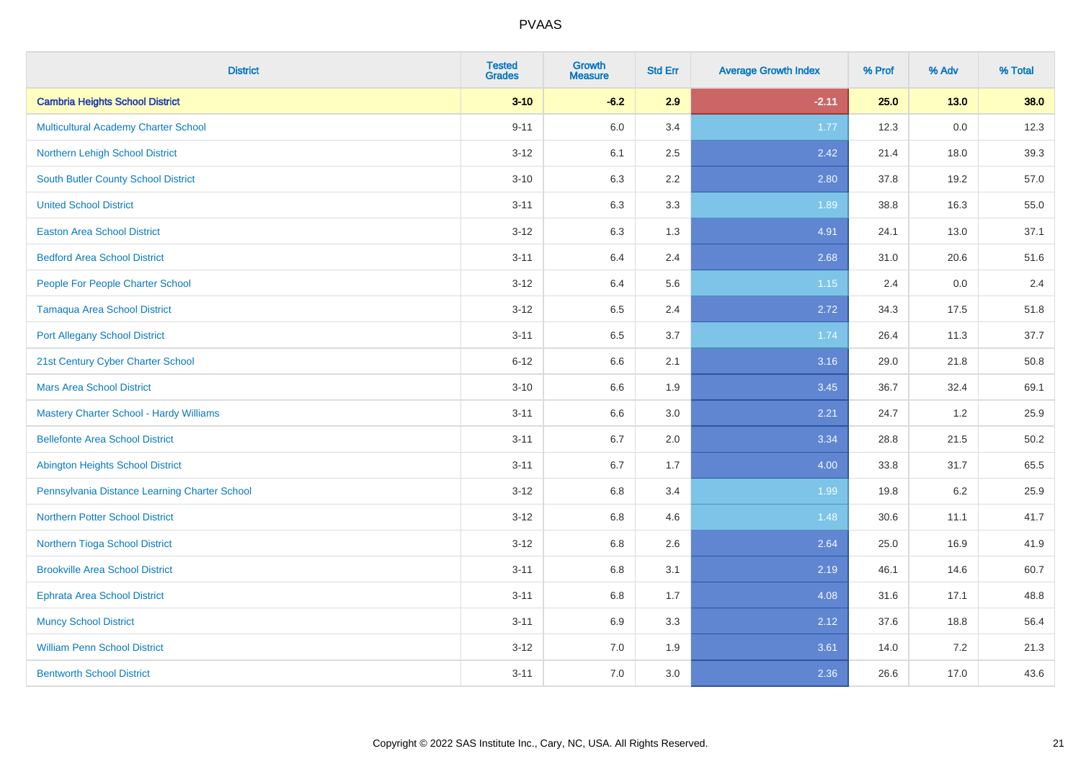| <b>District</b>                               | <b>Tested</b><br><b>Grades</b> | <b>Growth</b><br><b>Measure</b> | <b>Std Err</b> | <b>Average Growth Index</b> | % Prof | % Adv  | % Total |
|-----------------------------------------------|--------------------------------|---------------------------------|----------------|-----------------------------|--------|--------|---------|
| <b>Cambria Heights School District</b>        | $3 - 10$                       | $-6.2$                          | 2.9            | $-2.11$                     | 25.0   | $13.0$ | 38.0    |
| <b>Multicultural Academy Charter School</b>   | $9 - 11$                       | 6.0                             | 3.4            | 1.77                        | 12.3   | 0.0    | 12.3    |
| Northern Lehigh School District               | $3 - 12$                       | 6.1                             | 2.5            | 2.42                        | 21.4   | 18.0   | 39.3    |
| <b>South Butler County School District</b>    | $3 - 10$                       | 6.3                             | 2.2            | 2.80                        | 37.8   | 19.2   | 57.0    |
| <b>United School District</b>                 | $3 - 11$                       | 6.3                             | 3.3            | 1.89                        | 38.8   | 16.3   | 55.0    |
| <b>Easton Area School District</b>            | $3 - 12$                       | 6.3                             | 1.3            | 4.91                        | 24.1   | 13.0   | 37.1    |
| <b>Bedford Area School District</b>           | $3 - 11$                       | 6.4                             | 2.4            | 2.68                        | 31.0   | 20.6   | 51.6    |
| People For People Charter School              | $3 - 12$                       | 6.4                             | 5.6            | 1.15                        | 2.4    | 0.0    | 2.4     |
| <b>Tamaqua Area School District</b>           | $3 - 12$                       | 6.5                             | 2.4            | 2.72                        | 34.3   | 17.5   | 51.8    |
| <b>Port Allegany School District</b>          | $3 - 11$                       | 6.5                             | 3.7            | 1.74                        | 26.4   | 11.3   | 37.7    |
| 21st Century Cyber Charter School             | $6 - 12$                       | 6.6                             | 2.1            | 3.16                        | 29.0   | 21.8   | 50.8    |
| <b>Mars Area School District</b>              | $3 - 10$                       | 6.6                             | 1.9            | 3.45                        | 36.7   | 32.4   | 69.1    |
| Mastery Charter School - Hardy Williams       | $3 - 11$                       | 6.6                             | 3.0            | 2.21                        | 24.7   | 1.2    | 25.9    |
| <b>Bellefonte Area School District</b>        | $3 - 11$                       | 6.7                             | 2.0            | 3.34                        | 28.8   | 21.5   | 50.2    |
| <b>Abington Heights School District</b>       | $3 - 11$                       | 6.7                             | 1.7            | 4.00                        | 33.8   | 31.7   | 65.5    |
| Pennsylvania Distance Learning Charter School | $3 - 12$                       | 6.8                             | 3.4            | 1.99                        | 19.8   | 6.2    | 25.9    |
| <b>Northern Potter School District</b>        | $3 - 12$                       | 6.8                             | 4.6            | 1.48                        | 30.6   | 11.1   | 41.7    |
| Northern Tioga School District                | $3 - 12$                       | 6.8                             | 2.6            | 2.64                        | 25.0   | 16.9   | 41.9    |
| <b>Brookville Area School District</b>        | $3 - 11$                       | 6.8                             | 3.1            | 2.19                        | 46.1   | 14.6   | 60.7    |
| <b>Ephrata Area School District</b>           | $3 - 11$                       | $6.8\,$                         | 1.7            | 4.08                        | 31.6   | 17.1   | 48.8    |
| <b>Muncy School District</b>                  | $3 - 11$                       | 6.9                             | 3.3            | 2.12                        | 37.6   | 18.8   | 56.4    |
| <b>William Penn School District</b>           | $3 - 12$                       | 7.0                             | 1.9            | 3.61                        | 14.0   | 7.2    | 21.3    |
| <b>Bentworth School District</b>              | $3 - 11$                       | 7.0                             | 3.0            | 2.36                        | 26.6   | 17.0   | 43.6    |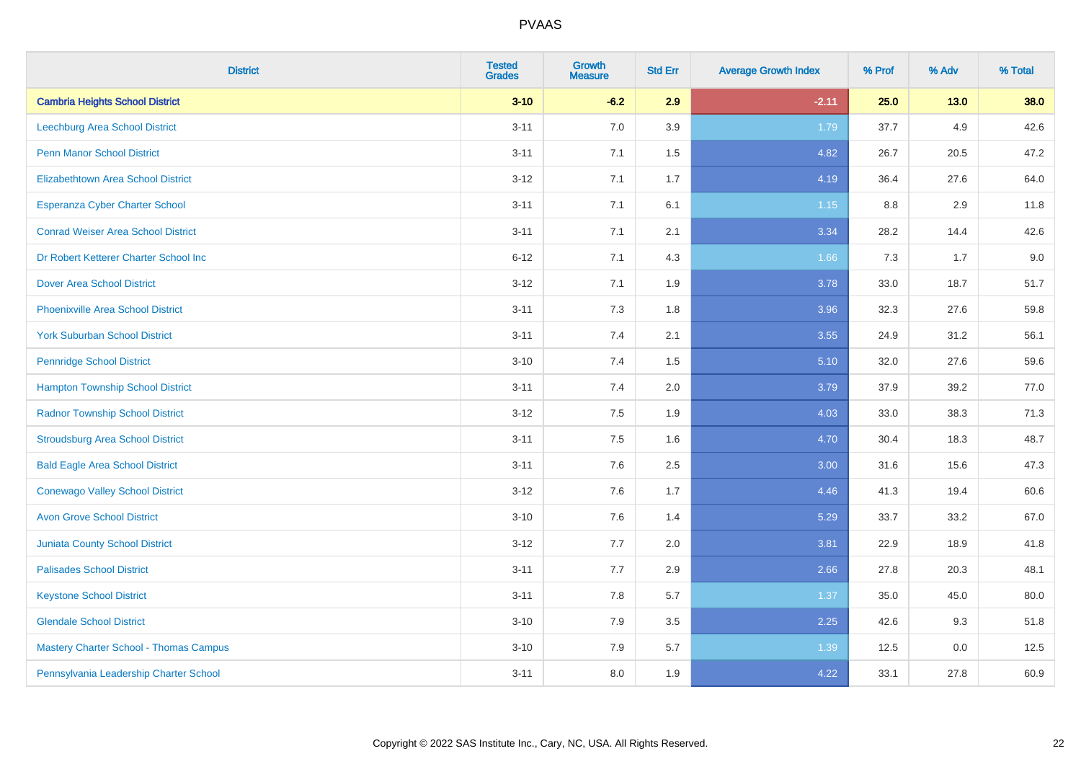| <b>District</b>                               | <b>Tested</b><br><b>Grades</b> | <b>Growth</b><br><b>Measure</b> | <b>Std Err</b> | <b>Average Growth Index</b> | % Prof | % Adv  | % Total |
|-----------------------------------------------|--------------------------------|---------------------------------|----------------|-----------------------------|--------|--------|---------|
| <b>Cambria Heights School District</b>        | $3 - 10$                       | $-6.2$                          | 2.9            | $-2.11$                     | 25.0   | $13.0$ | 38.0    |
| Leechburg Area School District                | $3 - 11$                       | 7.0                             | 3.9            | 1.79                        | 37.7   | 4.9    | 42.6    |
| <b>Penn Manor School District</b>             | $3 - 11$                       | 7.1                             | 1.5            | 4.82                        | 26.7   | 20.5   | 47.2    |
| <b>Elizabethtown Area School District</b>     | $3 - 12$                       | 7.1                             | 1.7            | 4.19                        | 36.4   | 27.6   | 64.0    |
| <b>Esperanza Cyber Charter School</b>         | $3 - 11$                       | 7.1                             | 6.1            | 1.15                        | 8.8    | 2.9    | 11.8    |
| <b>Conrad Weiser Area School District</b>     | $3 - 11$                       | 7.1                             | 2.1            | 3.34                        | 28.2   | 14.4   | 42.6    |
| Dr Robert Ketterer Charter School Inc         | $6 - 12$                       | 7.1                             | 4.3            | 1.66                        | 7.3    | 1.7    | 9.0     |
| <b>Dover Area School District</b>             | $3 - 12$                       | 7.1                             | 1.9            | 3.78                        | 33.0   | 18.7   | 51.7    |
| <b>Phoenixville Area School District</b>      | $3 - 11$                       | 7.3                             | 1.8            | 3.96                        | 32.3   | 27.6   | 59.8    |
| <b>York Suburban School District</b>          | $3 - 11$                       | 7.4                             | 2.1            | 3.55                        | 24.9   | 31.2   | 56.1    |
| <b>Pennridge School District</b>              | $3 - 10$                       | 7.4                             | 1.5            | 5.10                        | 32.0   | 27.6   | 59.6    |
| <b>Hampton Township School District</b>       | $3 - 11$                       | 7.4                             | 2.0            | 3.79                        | 37.9   | 39.2   | 77.0    |
| <b>Radnor Township School District</b>        | $3 - 12$                       | $7.5\,$                         | 1.9            | 4.03                        | 33.0   | 38.3   | 71.3    |
| <b>Stroudsburg Area School District</b>       | $3 - 11$                       | 7.5                             | 1.6            | 4.70                        | 30.4   | 18.3   | 48.7    |
| <b>Bald Eagle Area School District</b>        | $3 - 11$                       | 7.6                             | 2.5            | 3.00                        | 31.6   | 15.6   | 47.3    |
| <b>Conewago Valley School District</b>        | $3-12$                         | 7.6                             | 1.7            | 4.46                        | 41.3   | 19.4   | 60.6    |
| <b>Avon Grove School District</b>             | $3 - 10$                       | 7.6                             | 1.4            | 5.29                        | 33.7   | 33.2   | 67.0    |
| Juniata County School District                | $3 - 12$                       | 7.7                             | 2.0            | 3.81                        | 22.9   | 18.9   | 41.8    |
| <b>Palisades School District</b>              | $3 - 11$                       | 7.7                             | 2.9            | 2.66                        | 27.8   | 20.3   | 48.1    |
| <b>Keystone School District</b>               | $3 - 11$                       | 7.8                             | 5.7            | 1.37                        | 35.0   | 45.0   | 80.0    |
| <b>Glendale School District</b>               | $3 - 10$                       | 7.9                             | 3.5            | 2.25                        | 42.6   | 9.3    | 51.8    |
| <b>Mastery Charter School - Thomas Campus</b> | $3 - 10$                       | 7.9                             | 5.7            | 1.39                        | 12.5   | 0.0    | 12.5    |
| Pennsylvania Leadership Charter School        | $3 - 11$                       | 8.0                             | 1.9            | 4.22                        | 33.1   | 27.8   | 60.9    |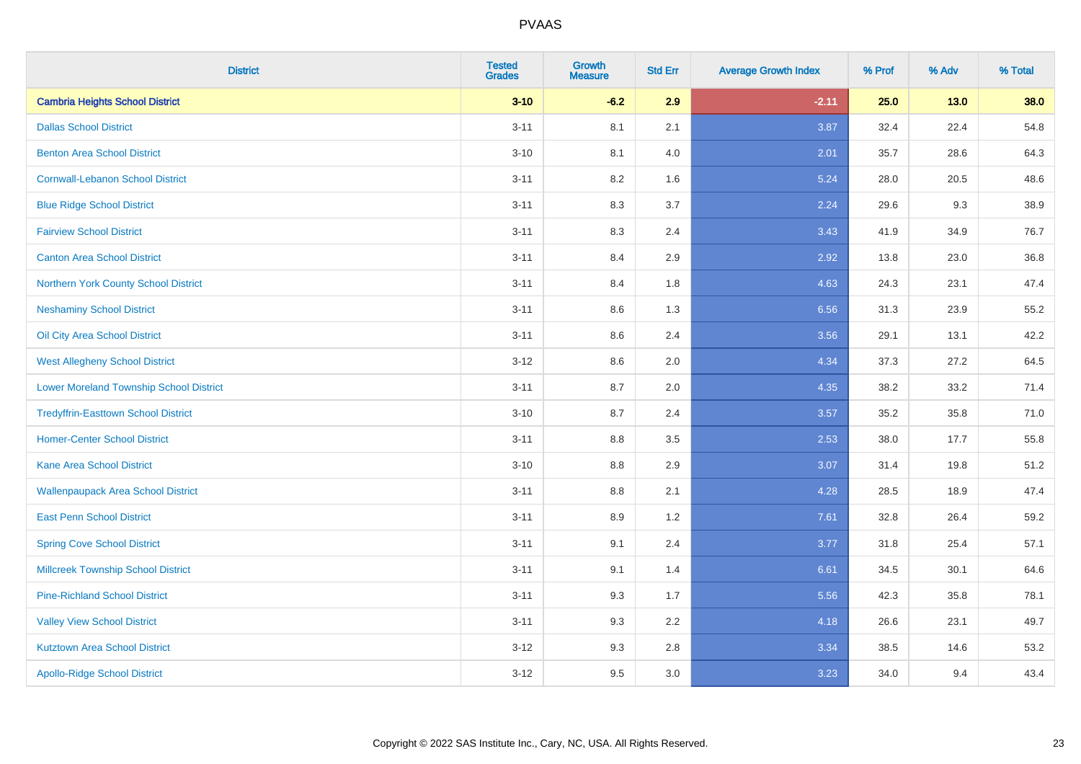| <b>District</b>                                | <b>Tested</b><br><b>Grades</b> | <b>Growth</b><br><b>Measure</b> | <b>Std Err</b> | <b>Average Growth Index</b> | % Prof | % Adv  | % Total |
|------------------------------------------------|--------------------------------|---------------------------------|----------------|-----------------------------|--------|--------|---------|
| <b>Cambria Heights School District</b>         | $3 - 10$                       | $-6.2$                          | 2.9            | $-2.11$                     | 25.0   | $13.0$ | 38.0    |
| <b>Dallas School District</b>                  | $3 - 11$                       | 8.1                             | 2.1            | 3.87                        | 32.4   | 22.4   | 54.8    |
| <b>Benton Area School District</b>             | $3 - 10$                       | 8.1                             | 4.0            | 2.01                        | 35.7   | 28.6   | 64.3    |
| <b>Cornwall-Lebanon School District</b>        | $3 - 11$                       | 8.2                             | 1.6            | 5.24                        | 28.0   | 20.5   | 48.6    |
| <b>Blue Ridge School District</b>              | $3 - 11$                       | 8.3                             | 3.7            | 2.24                        | 29.6   | 9.3    | 38.9    |
| <b>Fairview School District</b>                | $3 - 11$                       | 8.3                             | 2.4            | 3.43                        | 41.9   | 34.9   | 76.7    |
| <b>Canton Area School District</b>             | $3 - 11$                       | 8.4                             | 2.9            | 2.92                        | 13.8   | 23.0   | 36.8    |
| Northern York County School District           | $3 - 11$                       | 8.4                             | 1.8            | 4.63                        | 24.3   | 23.1   | 47.4    |
| <b>Neshaminy School District</b>               | $3 - 11$                       | 8.6                             | 1.3            | 6.56                        | 31.3   | 23.9   | 55.2    |
| Oil City Area School District                  | $3 - 11$                       | 8.6                             | 2.4            | 3.56                        | 29.1   | 13.1   | 42.2    |
| <b>West Allegheny School District</b>          | $3 - 12$                       | 8.6                             | 2.0            | 4.34                        | 37.3   | 27.2   | 64.5    |
| <b>Lower Moreland Township School District</b> | $3 - 11$                       | 8.7                             | 2.0            | 4.35                        | 38.2   | 33.2   | 71.4    |
| <b>Tredyffrin-Easttown School District</b>     | $3 - 10$                       | 8.7                             | 2.4            | 3.57                        | 35.2   | 35.8   | 71.0    |
| <b>Homer-Center School District</b>            | $3 - 11$                       | 8.8                             | 3.5            | 2.53                        | 38.0   | 17.7   | 55.8    |
| Kane Area School District                      | $3 - 10$                       | 8.8                             | 2.9            | 3.07                        | 31.4   | 19.8   | 51.2    |
| <b>Wallenpaupack Area School District</b>      | $3 - 11$                       | 8.8                             | 2.1            | 4.28                        | 28.5   | 18.9   | 47.4    |
| <b>East Penn School District</b>               | $3 - 11$                       | 8.9                             | 1.2            | 7.61                        | 32.8   | 26.4   | 59.2    |
| <b>Spring Cove School District</b>             | $3 - 11$                       | 9.1                             | 2.4            | 3.77                        | 31.8   | 25.4   | 57.1    |
| <b>Millcreek Township School District</b>      | $3 - 11$                       | 9.1                             | 1.4            | 6.61                        | 34.5   | 30.1   | 64.6    |
| <b>Pine-Richland School District</b>           | $3 - 11$                       | 9.3                             | 1.7            | 5.56                        | 42.3   | 35.8   | 78.1    |
| <b>Valley View School District</b>             | $3 - 11$                       | 9.3                             | 2.2            | 4.18                        | 26.6   | 23.1   | 49.7    |
| <b>Kutztown Area School District</b>           | $3 - 12$                       | 9.3                             | 2.8            | 3.34                        | 38.5   | 14.6   | 53.2    |
| <b>Apollo-Ridge School District</b>            | $3 - 12$                       | 9.5                             | 3.0            | 3.23                        | 34.0   | 9.4    | 43.4    |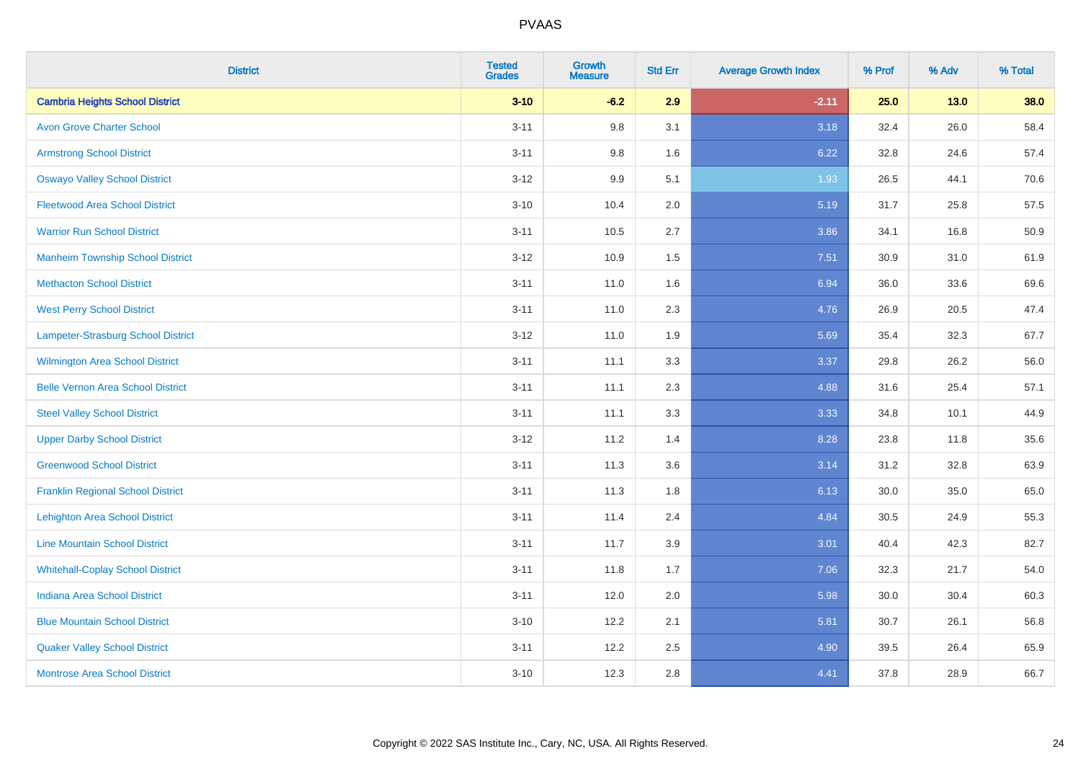| <b>District</b>                          | <b>Tested</b><br><b>Grades</b> | <b>Growth</b><br><b>Measure</b> | <b>Std Err</b> | <b>Average Growth Index</b> | % Prof | % Adv  | % Total |
|------------------------------------------|--------------------------------|---------------------------------|----------------|-----------------------------|--------|--------|---------|
| <b>Cambria Heights School District</b>   | $3 - 10$                       | $-6.2$                          | 2.9            | $-2.11$                     | 25.0   | $13.0$ | 38.0    |
| <b>Avon Grove Charter School</b>         | $3 - 11$                       | 9.8                             | 3.1            | 3.18                        | 32.4   | 26.0   | 58.4    |
| <b>Armstrong School District</b>         | $3 - 11$                       | 9.8                             | 1.6            | 6.22                        | 32.8   | 24.6   | 57.4    |
| <b>Oswayo Valley School District</b>     | $3 - 12$                       | 9.9                             | 5.1            | 1.93                        | 26.5   | 44.1   | 70.6    |
| <b>Fleetwood Area School District</b>    | $3 - 10$                       | 10.4                            | 2.0            | 5.19                        | 31.7   | 25.8   | 57.5    |
| <b>Warrior Run School District</b>       | $3 - 11$                       | 10.5                            | 2.7            | 3.86                        | 34.1   | 16.8   | 50.9    |
| <b>Manheim Township School District</b>  | $3-12$                         | 10.9                            | 1.5            | 7.51                        | 30.9   | 31.0   | 61.9    |
| <b>Methacton School District</b>         | $3 - 11$                       | 11.0                            | 1.6            | 6.94                        | 36.0   | 33.6   | 69.6    |
| <b>West Perry School District</b>        | $3 - 11$                       | 11.0                            | 2.3            | 4.76                        | 26.9   | 20.5   | 47.4    |
| Lampeter-Strasburg School District       | $3 - 12$                       | 11.0                            | 1.9            | 5.69                        | 35.4   | 32.3   | 67.7    |
| <b>Wilmington Area School District</b>   | $3 - 11$                       | 11.1                            | 3.3            | 3.37                        | 29.8   | 26.2   | 56.0    |
| <b>Belle Vernon Area School District</b> | $3 - 11$                       | 11.1                            | 2.3            | 4.88                        | 31.6   | 25.4   | 57.1    |
| <b>Steel Valley School District</b>      | $3 - 11$                       | 11.1                            | 3.3            | 3.33                        | 34.8   | 10.1   | 44.9    |
| <b>Upper Darby School District</b>       | $3 - 12$                       | 11.2                            | 1.4            | 8.28                        | 23.8   | 11.8   | 35.6    |
| <b>Greenwood School District</b>         | $3 - 11$                       | 11.3                            | 3.6            | 3.14                        | 31.2   | 32.8   | 63.9    |
| <b>Franklin Regional School District</b> | $3 - 11$                       | 11.3                            | 1.8            | 6.13                        | 30.0   | 35.0   | 65.0    |
| <b>Lehighton Area School District</b>    | $3 - 11$                       | 11.4                            | 2.4            | 4.84                        | 30.5   | 24.9   | 55.3    |
| <b>Line Mountain School District</b>     | $3 - 11$                       | 11.7                            | 3.9            | 3.01                        | 40.4   | 42.3   | 82.7    |
| <b>Whitehall-Coplay School District</b>  | $3 - 11$                       | 11.8                            | 1.7            | 7.06                        | 32.3   | 21.7   | 54.0    |
| <b>Indiana Area School District</b>      | $3 - 11$                       | 12.0                            | 2.0            | 5.98                        | 30.0   | 30.4   | 60.3    |
| <b>Blue Mountain School District</b>     | $3 - 10$                       | 12.2                            | 2.1            | 5.81                        | 30.7   | 26.1   | 56.8    |
| <b>Quaker Valley School District</b>     | $3 - 11$                       | 12.2                            | 2.5            | 4.90                        | 39.5   | 26.4   | 65.9    |
| <b>Montrose Area School District</b>     | $3 - 10$                       | 12.3                            | 2.8            | 4.41                        | 37.8   | 28.9   | 66.7    |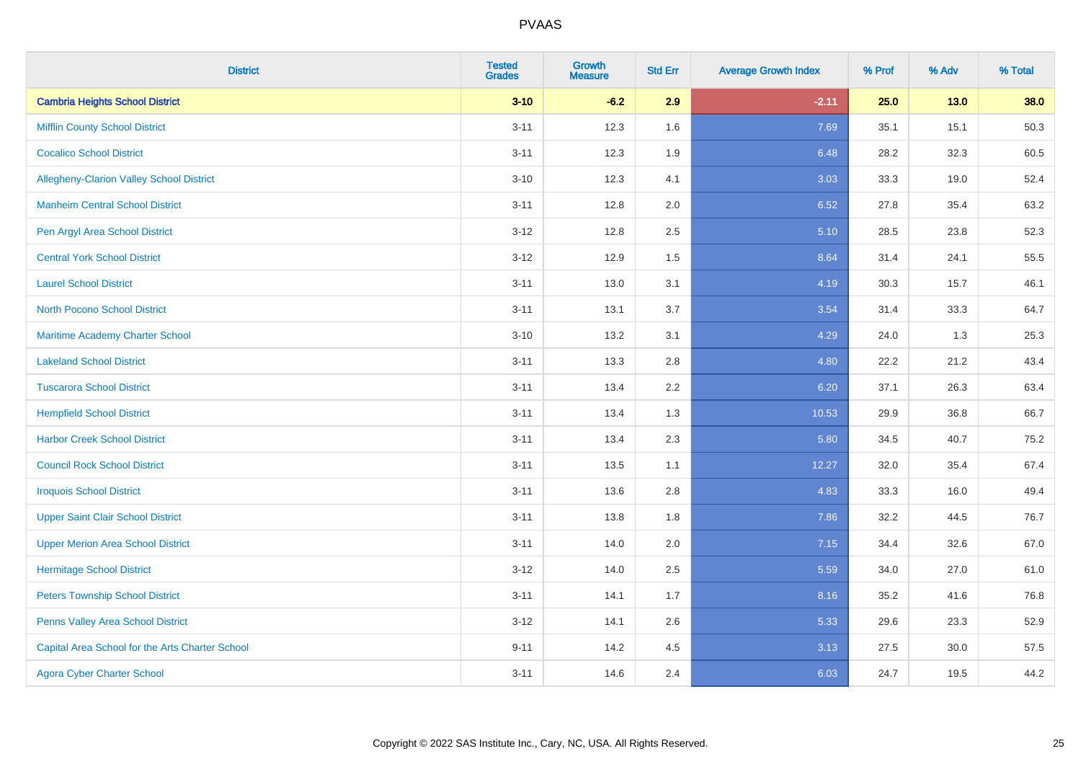| <b>District</b>                                 | <b>Tested</b><br><b>Grades</b> | <b>Growth</b><br><b>Measure</b> | <b>Std Err</b> | <b>Average Growth Index</b> | % Prof | % Adv  | % Total |
|-------------------------------------------------|--------------------------------|---------------------------------|----------------|-----------------------------|--------|--------|---------|
| <b>Cambria Heights School District</b>          | $3 - 10$                       | $-6.2$                          | 2.9            | $-2.11$                     | 25.0   | $13.0$ | 38.0    |
| <b>Mifflin County School District</b>           | $3 - 11$                       | 12.3                            | 1.6            | 7.69                        | 35.1   | 15.1   | 50.3    |
| <b>Cocalico School District</b>                 | $3 - 11$                       | 12.3                            | 1.9            | 6.48                        | 28.2   | 32.3   | 60.5    |
| Allegheny-Clarion Valley School District        | $3 - 10$                       | 12.3                            | 4.1            | 3.03                        | 33.3   | 19.0   | 52.4    |
| <b>Manheim Central School District</b>          | $3 - 11$                       | 12.8                            | 2.0            | 6.52                        | 27.8   | 35.4   | 63.2    |
| Pen Argyl Area School District                  | $3 - 12$                       | 12.8                            | 2.5            | 5.10                        | 28.5   | 23.8   | 52.3    |
| <b>Central York School District</b>             | $3 - 12$                       | 12.9                            | 1.5            | 8.64                        | 31.4   | 24.1   | 55.5    |
| <b>Laurel School District</b>                   | $3 - 11$                       | 13.0                            | 3.1            | 4.19                        | 30.3   | 15.7   | 46.1    |
| <b>North Pocono School District</b>             | $3 - 11$                       | 13.1                            | 3.7            | 3.54                        | 31.4   | 33.3   | 64.7    |
| <b>Maritime Academy Charter School</b>          | $3 - 10$                       | 13.2                            | 3.1            | 4.29                        | 24.0   | 1.3    | 25.3    |
| <b>Lakeland School District</b>                 | $3 - 11$                       | 13.3                            | 2.8            | 4.80                        | 22.2   | 21.2   | 43.4    |
| <b>Tuscarora School District</b>                | $3 - 11$                       | 13.4                            | 2.2            | 6.20                        | 37.1   | 26.3   | 63.4    |
| <b>Hempfield School District</b>                | $3 - 11$                       | 13.4                            | 1.3            | 10.53                       | 29.9   | 36.8   | 66.7    |
| <b>Harbor Creek School District</b>             | $3 - 11$                       | 13.4                            | 2.3            | 5.80                        | 34.5   | 40.7   | 75.2    |
| <b>Council Rock School District</b>             | $3 - 11$                       | 13.5                            | 1.1            | 12.27                       | 32.0   | 35.4   | 67.4    |
| <b>Iroquois School District</b>                 | $3 - 11$                       | 13.6                            | 2.8            | 4.83                        | 33.3   | 16.0   | 49.4    |
| <b>Upper Saint Clair School District</b>        | $3 - 11$                       | 13.8                            | 1.8            | 7.86                        | 32.2   | 44.5   | 76.7    |
| <b>Upper Merion Area School District</b>        | $3 - 11$                       | 14.0                            | 2.0            | 7.15                        | 34.4   | 32.6   | 67.0    |
| <b>Hermitage School District</b>                | $3-12$                         | 14.0                            | 2.5            | 5.59                        | 34.0   | 27.0   | 61.0    |
| <b>Peters Township School District</b>          | $3 - 11$                       | 14.1                            | 1.7            | 8.16                        | 35.2   | 41.6   | 76.8    |
| Penns Valley Area School District               | $3 - 12$                       | 14.1                            | 2.6            | 5.33                        | 29.6   | 23.3   | 52.9    |
| Capital Area School for the Arts Charter School | $9 - 11$                       | 14.2                            | 4.5            | 3.13                        | 27.5   | 30.0   | 57.5    |
| <b>Agora Cyber Charter School</b>               | $3 - 11$                       | 14.6                            | 2.4            | 6.03                        | 24.7   | 19.5   | 44.2    |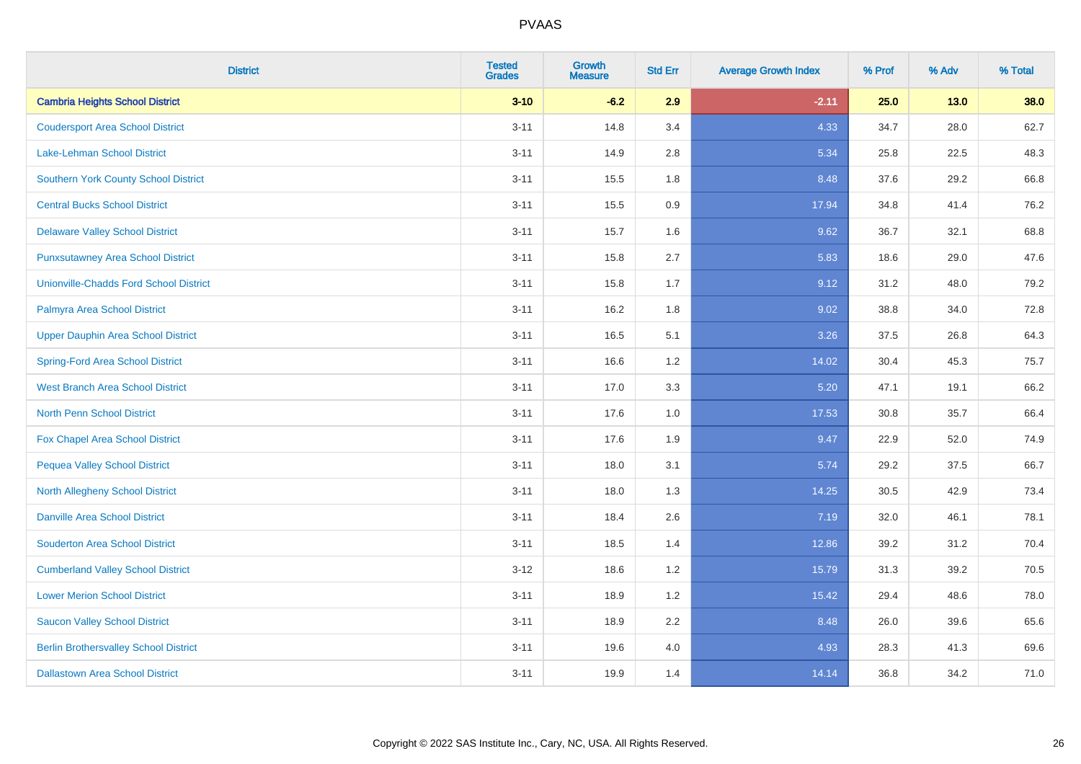| <b>District</b>                               | <b>Tested</b><br><b>Grades</b> | <b>Growth</b><br><b>Measure</b> | <b>Std Err</b> | <b>Average Growth Index</b> | % Prof | % Adv | % Total |
|-----------------------------------------------|--------------------------------|---------------------------------|----------------|-----------------------------|--------|-------|---------|
| <b>Cambria Heights School District</b>        | $3 - 10$                       | $-6.2$                          | 2.9            | $-2.11$                     | 25.0   | 13.0  | 38.0    |
| <b>Coudersport Area School District</b>       | $3 - 11$                       | 14.8                            | 3.4            | 4.33                        | 34.7   | 28.0  | 62.7    |
| <b>Lake-Lehman School District</b>            | $3 - 11$                       | 14.9                            | 2.8            | 5.34                        | 25.8   | 22.5  | 48.3    |
| <b>Southern York County School District</b>   | $3 - 11$                       | 15.5                            | 1.8            | 8.48                        | 37.6   | 29.2  | 66.8    |
| <b>Central Bucks School District</b>          | $3 - 11$                       | 15.5                            | 0.9            | 17.94                       | 34.8   | 41.4  | 76.2    |
| <b>Delaware Valley School District</b>        | $3 - 11$                       | 15.7                            | 1.6            | 9.62                        | 36.7   | 32.1  | 68.8    |
| <b>Punxsutawney Area School District</b>      | $3 - 11$                       | 15.8                            | 2.7            | 5.83                        | 18.6   | 29.0  | 47.6    |
| <b>Unionville-Chadds Ford School District</b> | $3 - 11$                       | 15.8                            | 1.7            | 9.12                        | 31.2   | 48.0  | 79.2    |
| Palmyra Area School District                  | $3 - 11$                       | 16.2                            | 1.8            | 9.02                        | 38.8   | 34.0  | 72.8    |
| <b>Upper Dauphin Area School District</b>     | $3 - 11$                       | 16.5                            | 5.1            | 3.26                        | 37.5   | 26.8  | 64.3    |
| <b>Spring-Ford Area School District</b>       | $3 - 11$                       | 16.6                            | 1.2            | 14.02                       | 30.4   | 45.3  | 75.7    |
| West Branch Area School District              | $3 - 11$                       | 17.0                            | 3.3            | 5.20                        | 47.1   | 19.1  | 66.2    |
| North Penn School District                    | $3 - 11$                       | 17.6                            | $1.0$          | 17.53                       | 30.8   | 35.7  | 66.4    |
| <b>Fox Chapel Area School District</b>        | $3 - 11$                       | 17.6                            | 1.9            | 9.47                        | 22.9   | 52.0  | 74.9    |
| <b>Pequea Valley School District</b>          | $3 - 11$                       | 18.0                            | 3.1            | 5.74                        | 29.2   | 37.5  | 66.7    |
| North Allegheny School District               | $3 - 11$                       | 18.0                            | 1.3            | 14.25                       | 30.5   | 42.9  | 73.4    |
| <b>Danville Area School District</b>          | $3 - 11$                       | 18.4                            | 2.6            | 7.19                        | 32.0   | 46.1  | 78.1    |
| <b>Souderton Area School District</b>         | $3 - 11$                       | 18.5                            | 1.4            | 12.86                       | 39.2   | 31.2  | 70.4    |
| <b>Cumberland Valley School District</b>      | $3 - 12$                       | 18.6                            | 1.2            | 15.79                       | 31.3   | 39.2  | 70.5    |
| <b>Lower Merion School District</b>           | $3 - 11$                       | 18.9                            | 1.2            | 15.42                       | 29.4   | 48.6  | 78.0    |
| <b>Saucon Valley School District</b>          | $3 - 11$                       | 18.9                            | 2.2            | 8.48                        | 26.0   | 39.6  | 65.6    |
| <b>Berlin Brothersvalley School District</b>  | $3 - 11$                       | 19.6                            | 4.0            | 4.93                        | 28.3   | 41.3  | 69.6    |
| <b>Dallastown Area School District</b>        | $3 - 11$                       | 19.9                            | 1.4            | 14.14                       | 36.8   | 34.2  | 71.0    |